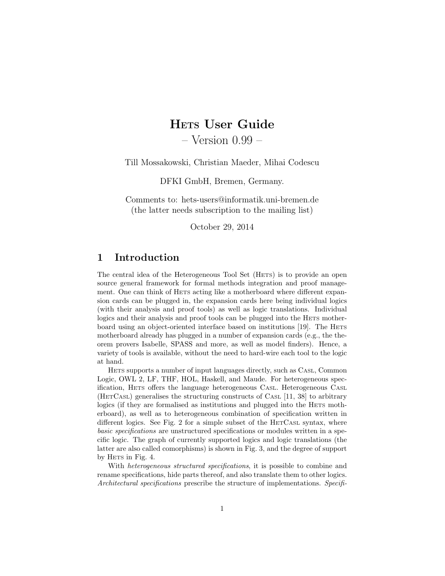# HETS User Guide

– Version 0.99 –

Till Mossakowski, Christian Maeder, Mihai Codescu

DFKI GmbH, Bremen, Germany.

Comments to: hets-users@informatik.uni-bremen.de (the latter needs subscription to the mailing list)

October 29, 2014

# 1 Introduction

The central idea of the Heterogeneous Tool Set (HETS) is to provide an open source general framework for formal methods integration and proof management. One can think of HETS acting like a motherboard where different expansion cards can be plugged in, the expansion cards here being individual logics (with their analysis and proof tools) as well as logic translations. Individual logics and their analysis and proof tools can be plugged into the HETS motherboard using an object-oriented interface based on institutions [\[19\]](#page-39-0). The HETS motherboard already has plugged in a number of expansion cards (e.g., the theorem provers Isabelle, SPASS and more, as well as model finders). Hence, a variety of tools is available, without the need to hard-wire each tool to the logic at hand.

HETS supports a number of input languages directly, such as CASL, Common Logic, OWL 2, LF, THF, HOL, Haskell, and Maude. For heterogeneous specification, HETS offers the language heterogeneous CASL. Heterogeneous CASL (HETCASL) generalises the structuring constructs of CASL [\[11,](#page-39-1) [38\]](#page-41-0) to arbitrary logics (if they are formalised as institutions and plugged into the HETS motherboard), as well as to heterogeneous combination of specification written in different logics. See Fig. [2](#page-1-0) for a simple subset of the HETCASL syntax, where basic specifications are unstructured specifications or modules written in a specific logic. The graph of currently supported logics and logic translations (the latter are also called comorphisms) is shown in Fig. [3,](#page-2-0) and the degree of support by HETS in Fig. [4.](#page-3-0)

With *heterogeneous structured specifications*, it is possible to combine and rename specifications, hide parts thereof, and also translate them to other logics. Architectural specifications prescribe the structure of implementations. Specifi-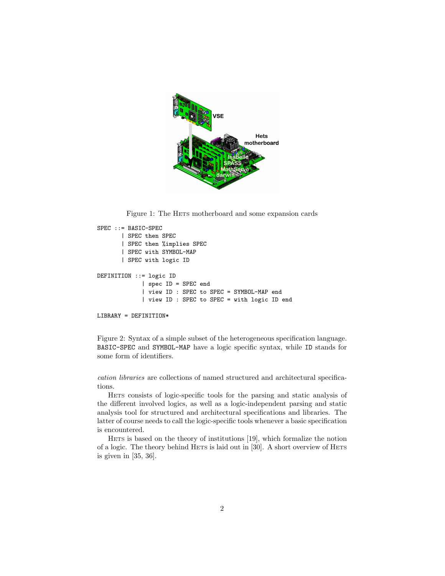

Figure 1: The HETS motherboard and some expansion cards

```
SPEC ::= BASIC-SPEC
       | SPEC then SPEC
       | SPEC then %implies SPEC
       | SPEC with SYMBOL-MAP
       | SPEC with logic ID
DEFINITION ::= logic ID
             | spec ID = SPEC end
             | view ID : SPEC to SPEC = SYMBOL-MAP end
             | view ID : SPEC to SPEC = with logic ID end
LIBRARY = DEFINITION*
```
<span id="page-1-0"></span>Figure 2: Syntax of a simple subset of the heterogeneous specification language. BASIC-SPEC and SYMBOL-MAP have a logic specific syntax, while ID stands for some form of identifiers.

cation libraries are collections of named structured and architectural specifications.

HETS consists of logic-specific tools for the parsing and static analysis of the different involved logics, as well as a logic-independent parsing and static analysis tool for structured and architectural specifications and libraries. The latter of course needs to call the logic-specific tools whenever a basic specification is encountered.

HETS is based on the theory of institutions [\[19\]](#page-39-0), which formalize the notion of a logic. The theory behind HETS is laid out in [\[30\]](#page-40-0). A short overview of HETS is given in [\[35,](#page-40-1) [36\]](#page-41-1).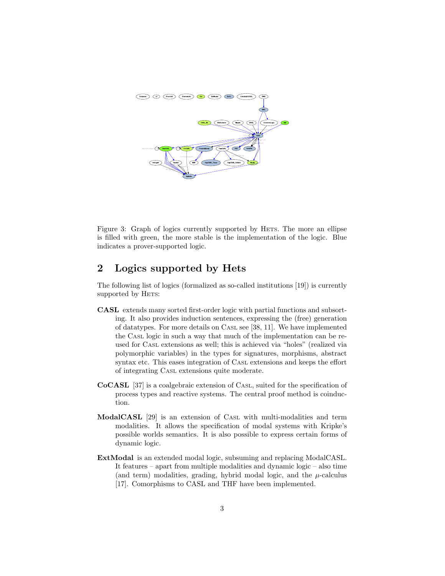

<span id="page-2-0"></span>Figure 3: Graph of logics currently supported by HETS. The more an ellipse is filled with green, the more stable is the implementation of the logic. Blue indicates a prover-supported logic.

# 2 Logics supported by Hets

The following list of logics (formalized as so-called institutions [\[19\]](#page-39-0)) is currently supported by HETS:

- CASL extends many sorted first-order logic with partial functions and subsorting. It also provides induction sentences, expressing the (free) generation of datatypes. For more details on CASL see [\[38,](#page-41-0) [11\]](#page-39-1). We have implemented the CASL logic in such a way that much of the implementation can be reused for CASL extensions as well; this is achieved via "holes" (realized via polymorphic variables) in the types for signatures, morphisms, abstract syntax etc. This eases integration of CASL extensions and keeps the effort of integrating CASL extensions quite moderate.
- CoCASL [\[37\]](#page-41-2) is a coalgebraic extension of CASL, suited for the specification of process types and reactive systems. The central proof method is coinduction.
- ModalCASL [\[29\]](#page-40-2) is an extension of CASL with multi-modalities and term modalities. It allows the specification of modal systems with Kripke's possible worlds semantics. It is also possible to express certain forms of dynamic logic.
- ExtModal is an extended modal logic, subsuming and replacing ModalCASL. It features – apart from multiple modalities and dynamic logic – also time (and term) modalities, grading, hybrid modal logic, and the  $\mu$ -calculus [\[17\]](#page-39-2). Comorphisms to CASL and THF have been implemented.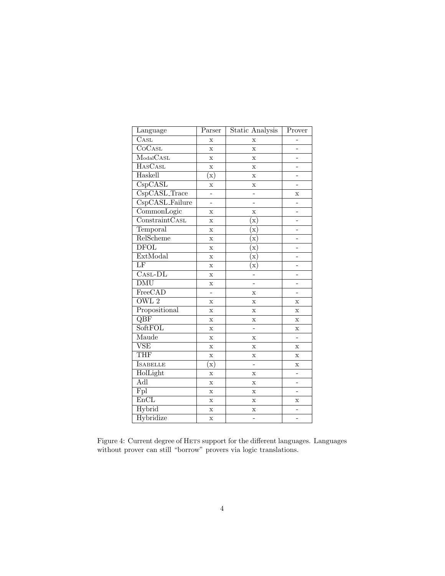| Language                           | Parser                   | Static Analysis | Prover                   |
|------------------------------------|--------------------------|-----------------|--------------------------|
| $\overline{\text{C}\text{AsL}}$    | $\bar{x}$                | $\mathbf x$     |                          |
| $\overline{\text{CoCast}}$         | $\mathbf x$              | X               | -                        |
| $\overline{\text{ModalCASL}}$      | $\mathbf x$              | X               | $\overline{\phantom{0}}$ |
| <b>HASCASL</b>                     | $\mathbf x$              | $\mathbf x$     | $\overline{a}$           |
| Haskell                            | $\rm \bar(x)$            | $\mathbf x$     |                          |
| $\overline{\text{CspCASL}}$        | X                        | X               |                          |
| $\overline{\text{CspCASL}}$ -Trace | $\overline{\phantom{a}}$ | -               | Х                        |
| CspCASL_Failure                    | $\overline{a}$           | -               |                          |
| $\overline{\text{CommonLogic}}$    | X                        | X               |                          |
| ConstraintCASL                     | $\mathbf x$              | $\mathbf{x})$   | $\overline{a}$           |
| Temporal                           | $\mathbf x$              | $\mathbf{x})$   | -                        |
| RelScheme                          | $\mathbf x$              | $\mathbf{x})$   | -                        |
| <b>DFOL</b>                        | $\mathbf x$              | $(\mathrm{x})$  |                          |
| ExtModal                           | $\mathbf x$              | $(\mathbf{x})$  |                          |
| $\overline{\rm LF}$                | X                        | $\mathbf{x})$   | $\overline{a}$           |
| $\overline{\text{Casl-DL}}$        | $\mathbf x$              | $\overline{a}$  | $\overline{a}$           |
| $\overline{\mathrm{DMU}}$          | $\mathbf x$              |                 |                          |
| FreeCAD                            | $\overline{a}$           | X               | $\overline{a}$           |
| $\overline{\text{OWL } 2}$         | X                        | $\mathbf x$     | X                        |
| Propositional                      | $\mathbf x$              | $\mathbf x$     | $\mathbf x$              |
| $\overline{\text{QBF}}$            | $\bar{x}$                | $\mathbf x$     | $\bar{x}$                |
| <b>SoftFOL</b>                     | $\mathbf x$              |                 | X                        |
| Maude                              | $\mathbf x$              | X               | $\overline{\phantom{0}}$ |
| $\overline{\text{VSE}}$            | $\mathbf x$              | X               | X                        |
| <b>THF</b>                         | $\bar{x}$                | X               | X                        |
| <b>I</b> SABELLE                   | $\mathbf{x})$            | $\overline{a}$  | X                        |
| HolLight                           | $\mathbf x$              | X               | -                        |
| Adl                                | $\mathbf x$              | $\mathbf x$     | $\overline{a}$           |
| Fpl                                | $\mathbf x$              | $\mathbf x$     |                          |
| EnCL                               | $\mathbf x$              | X               | X                        |
| Hybrid                             | $\mathbf x$              | $\mathbf x$     | -                        |
| Hybridize                          | $\bar{\mathbf{x}}$       | $\overline{a}$  | $\overline{\phantom{0}}$ |

<span id="page-3-0"></span>Figure 4: Current degree of HETS support for the different languages. Languages without prover can still "borrow" provers via logic translations.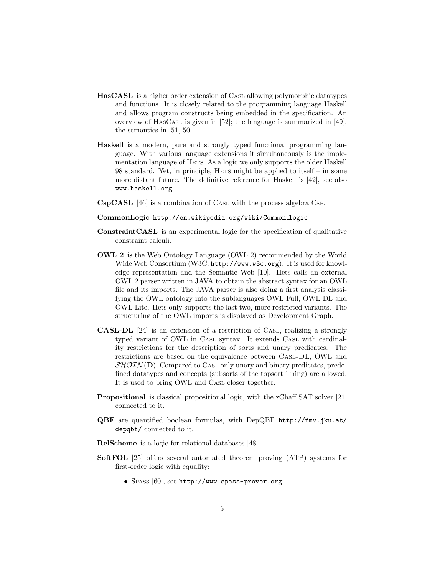- HasCASL is a higher order extension of CASL allowing polymorphic datatypes and functions. It is closely related to the programming language Haskell and allows program constructs being embedded in the specification. An overview of HASCASL is given in [\[52\]](#page-42-0); the language is summarized in [\[49\]](#page-42-1), the semantics in [\[51,](#page-42-2) [50\]](#page-42-3).
- Haskell is a modern, pure and strongly typed functional programming language. With various language extensions it simultaneously is the implementation language of HETS. As a logic we only supports the older Haskell 98 standard. Yet, in principle, HETS might be applied to itself – in some more distant future. The definitive reference for Haskell is [\[42\]](#page-41-3), see also <www.haskell.org>.
- CspCASL [\[46\]](#page-41-4) is a combination of CASL with the process algebra CSP.
- CommonLogic [http://en.wikipedia.org/wiki/Common](http://en.wikipedia.org/wiki/Common_logic) logic
- ConstraintCASL is an experimental logic for the specification of qualitative constraint calculi.
- OWL 2 is the Web Ontology Language (OWL 2) recommended by the World Wide Web Consortium (W3C, <http://www.w3c.org>). It is used for knowledge representation and the Semantic Web [\[10\]](#page-39-3). Hets calls an external OWL 2 parser written in JAVA to obtain the abstract syntax for an OWL file and its imports. The JAVA parser is also doing a first analysis classifying the OWL ontology into the sublanguages OWL Full, OWL DL and OWL Lite. Hets only supports the last two, more restricted variants. The structuring of the OWL imports is displayed as Development Graph.
- CASL-DL [\[24\]](#page-40-3) is an extension of a restriction of CASL, realizing a strongly typed variant of OWL in CASL syntax. It extends CASL with cardinality restrictions for the description of sorts and unary predicates. The restrictions are based on the equivalence between Casl-DL, OWL and  $\mathcal{SHOIN}(\mathbf{D})$ . Compared to CASL only unary and binary predicates, predefined datatypes and concepts (subsorts of the topsort Thing) are allowed. It is used to bring OWL and CASL closer together.
- Propositional is classical propositional logic, with the zChaff SAT solver [\[21\]](#page-39-4) connected to it.
- QBF are quantified boolean formulas, with DepQBF [http://fmv.jku.at/](http://fmv.jku.at/depqbf/) [depqbf/](http://fmv.jku.at/depqbf/) connected to it.
- RelScheme is a logic for relational databases [\[48\]](#page-41-5).
- SoftFOL [\[25\]](#page-40-4) offers several automated theorem proving (ATP) systems for first-order logic with equality:
	- SPASS [\[60\]](#page-42-4), see <http://www.spass-prover.org>;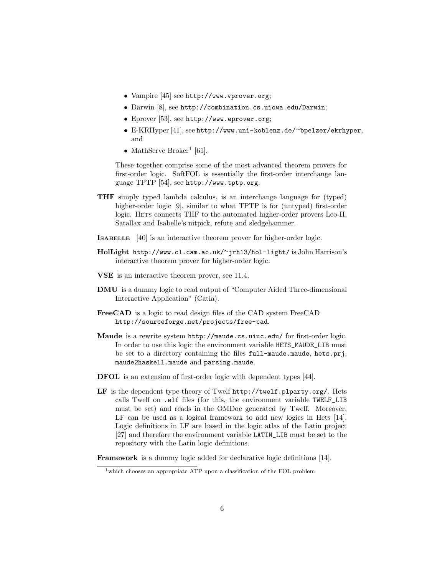- Vampire [\[45\]](#page-41-6) see <http://www.vprover.org>;
- Darwin [\[8\]](#page-38-0), see <http://combination.cs.uiowa.edu/Darwin>;
- Eprover [\[53\]](#page-42-5), see <http://www.eprover.org>;
- E-KRHyper [\[41\]](#page-41-7), see [http://www.uni-koblenz.de/](http://www.uni-koblenz.de/~bpelzer/ekrhyper)∼bpelzer/ekrhyper, and
- MathServe Broker<sup>[1](#page-5-0)</sup> [\[61\]](#page-43-0).

These together comprise some of the most advanced theorem provers for first-order logic. SoftFOL is essentially the first-order interchange language TPTP [\[54\]](#page-42-6), see <http://www.tptp.org>.

- THF simply typed lambda calculus, is an interchange language for (typed) higher-order logic [\[9\]](#page-38-1), similar to what TPTP is for (untyped) first-order logic. HETS connects THF to the automated higher-order provers Leo-II, Satallax and Isabelle's nitpick, refute and sledgehammer.
- ISABELLE [\[40\]](#page-41-8) is an interactive theorem prover for higher-order logic.
- HolLight [http://www.cl.cam.ac.uk/](http://www.cl.cam.ac.uk/~jrh13/hol-light/)<sup>∼</sup>jrh13/hol-light/ is John Harrison's interactive theorem prover for higher-order logic.
- VSE is an interactive theorem prover, see [11.4.](#page-31-0)
- DMU is a dummy logic to read output of "Computer Aided Three-dimensional Interactive Application" (Catia).
- FreeCAD is a logic to read design files of the CAD system FreeCAD <http://sourceforge.net/projects/free-cad>.
- Maude is a rewrite system <http://maude.cs.uiuc.edu/> for first-order logic. In order to use this logic the environment variable HETS\_MAUDE\_LIB must be set to a directory containing the files full-maude.maude, hets.prj, maude2haskell.maude and parsing.maude.
- DFOL is an extension of first-order logic with dependent types [\[44\]](#page-41-9).
- LF is the dependent type theory of Twelf <http://twelf.plparty.org/>. Hets calls Twelf on .elf files (for this, the environment variable TWELF\_LIB must be set) and reads in the OMDoc generated by Twelf. Moreover, LF can be used as a logical framework to add new logics in Hets [\[14\]](#page-39-5). Logic definitions in LF are based in the logic atlas of the Latin project [\[27\]](#page-40-5) and therefore the environment variable LATIN\_LIB must be set to the repository with the Latin logic definitions.

Framework is a dummy logic added for declarative logic definitions [\[14\]](#page-39-5).

<span id="page-5-0"></span><sup>&</sup>lt;sup>1</sup>which chooses an appropriate ATP upon a classification of the FOL problem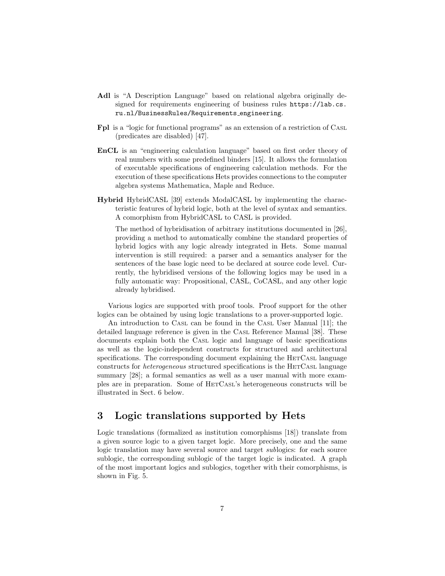- Adl is "A Description Language" based on relational algebra originally designed for requirements engineering of business rules [https://lab.cs.](https://lab.cs.ru.nl/BusinessRules/Requirements_engineering) [ru.nl/BusinessRules/Requirements](https://lab.cs.ru.nl/BusinessRules/Requirements_engineering) engineering.
- Fpl is a "logic for functional programs" as an extension of a restriction of CASL (predicates are disabled) [\[47\]](#page-41-10).
- EnCL is an "engineering calculation language" based on first order theory of real numbers with some predefined binders [\[15\]](#page-39-6). It allows the formulation of executable specifications of engineering calculation methods. For the execution of these specifications Hets provides connections to the computer algebra systems Mathematica, Maple and Reduce.
- Hybrid HybridCASL [\[39\]](#page-41-11) extends ModalCASL by implementing the characteristic features of hybrid logic, both at the level of syntax and semantics. A comorphism from HybridCASL to CASL is provided.

The method of hybridisation of arbitrary institutions documented in [\[26\]](#page-40-6), providing a method to automatically combine the standard properties of hybrid logics with any logic already integrated in Hets. Some manual intervention is still required: a parser and a semantics analyser for the sentences of the base logic need to be declared at source code level. Currently, the hybridised versions of the following logics may be used in a fully automatic way: Propositional, CASL, CoCASL, and any other logic already hybridised.

Various logics are supported with proof tools. Proof support for the other logics can be obtained by using logic translations to a prover-supported logic.

An introduction to CASL can be found in the CASL User Manual [\[11\]](#page-39-1); the detailed language reference is given in the CASL Reference Manual [\[38\]](#page-41-0). These documents explain both the CASL logic and language of basic specifications as well as the logic-independent constructs for structured and architectural specifications. The corresponding document explaining the HETCASL language constructs for heterogeneous structured specifications is the HETCASL language summary [\[28\]](#page-40-7); a formal semantics as well as a user manual with more examples are in preparation. Some of HETCASL's heterogeneous constructs will be illustrated in Sect. [6](#page-13-0) below.

# <span id="page-6-0"></span>3 Logic translations supported by Hets

Logic translations (formalized as institution comorphisms [\[18\]](#page-39-7)) translate from a given source logic to a given target logic. More precisely, one and the same logic translation may have several source and target sublogics: for each source sublogic, the corresponding sublogic of the target logic is indicated. A graph of the most important logics and sublogics, together with their comorphisms, is shown in Fig. [5.](#page-7-0)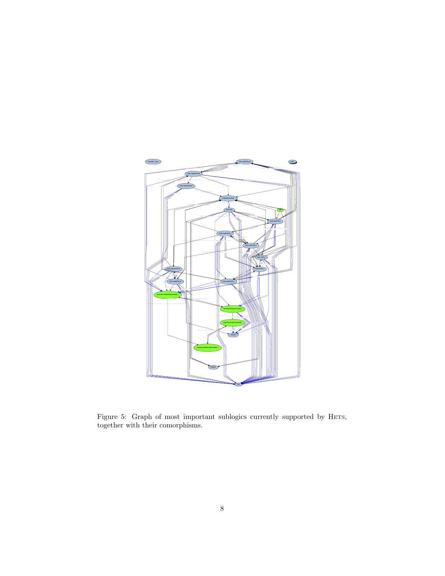

<span id="page-7-0"></span>Figure 5: Graph of most important sublogics currently supported by HETS, together with their comorphisms.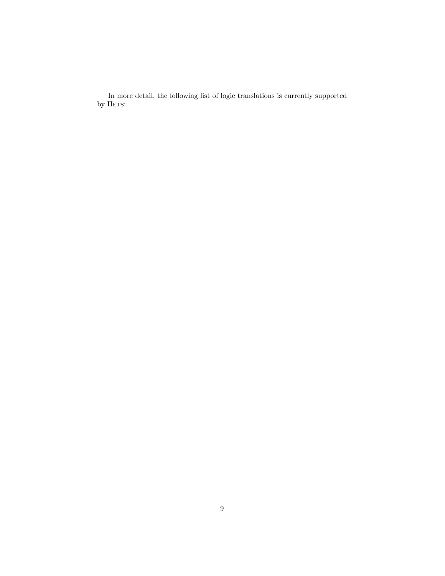In more detail, the following list of logic translations is currently supported by HETS: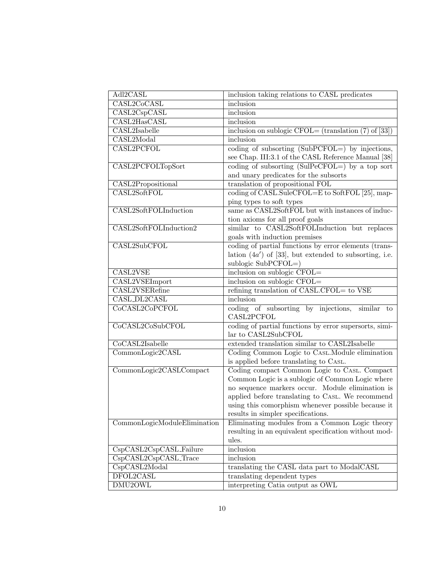| Adl2CASL                            | inclusion taking relations to CASL predicates                   |
|-------------------------------------|-----------------------------------------------------------------|
| CASL2CoCASL                         | inclusion                                                       |
| CASL2CspCASL                        | inclusion                                                       |
| CASL2HasCASL                        | inclusion                                                       |
| $\overline{\text{CASL2Isabelle}}$   | inclusion on sublogic CFOL= (translation $(7)$ of $[33]$ )      |
| CASL2Modal                          | inclusion                                                       |
| CASL2PCFOL                          | coding of subsorting $(SubPCFOL=)$ by injections,               |
|                                     | see Chap. III:3.1 of the CASL Reference Manual [38]             |
| CASL2PCFOLTopSort                   | coding of subsorting $(SulPeCFOL=)$ by a top sort               |
|                                     | and unary predicates for the subsorts                           |
| CASL2Propositional                  | translation of propositional FOL                                |
| CASL2SoftFOL                        | coding of CASL.SuleCFOL=E to SoftFOL [25], map-                 |
|                                     | ping types to soft types                                        |
| CASL2SoftFOLInduction               | same as CASL2SoftFOL but with instances of induc-               |
|                                     | tion axioms for all proof goals                                 |
| CASL2SoftFOLInduction2              | similar to CASL2SoftFOLInduction but replaces                   |
|                                     | goals with induction premises                                   |
| CASL2SubCFOL                        | coding of partial functions by error elements (trans-           |
|                                     | lation $(4a')$ of [33], but extended to subsorting, i.e.        |
|                                     | sublogic SubPCFOL=)                                             |
| CASL2VSE                            | inclusion on sublogic CFOL=                                     |
| CASL2VSEImport                      | inclusion on sublogic CFOL=                                     |
| CASL2VSERefine                      | refining translation of CASL.CFOL= to VSE                       |
|                                     |                                                                 |
| CASL_DL2CASL                        | inclusion                                                       |
| CoCASL2CoPCFOL                      | coding of subsorting by injections,<br>similar to               |
|                                     | CASL2PCFOL                                                      |
| CoCASL2CoSubCFOL                    | coding of partial functions by error supersorts, simi-          |
|                                     | lar to CASL2SubCFOL                                             |
| CoCASL2Isabelle                     | extended translation similar to CASL2Isabelle                   |
| CommonLogic2CASL                    | Coding Common Logic to CASL. Module elimination                 |
|                                     | is applied before translating to CASL.                          |
| CommonLogic2CASLCompact             | Coding compact Common Logic to CASL. Compact                    |
|                                     | Common Logic is a sublogic of Common Logic where                |
|                                     | no sequence markers occur. Module elimination is                |
|                                     | applied before translating to CASL. We recommend                |
|                                     | using this comorphism whenever possible because it              |
|                                     | results in simpler specifications.                              |
| CommonLogicModuleElimination        | Eliminating modules from a Common Logic theory                  |
|                                     | resulting in an equivalent specification without mod-           |
|                                     | ules.                                                           |
| CspCASL2CspCASL_Failure             | inclusion                                                       |
| $Csp\overline{CASL2CspCASL\_Trace}$ | inclusion                                                       |
| CspCASL2Modal                       | translating the CASL data part to ModalCASL                     |
| DFOL2CASL<br>DMU <sub>2</sub> OWL   | translating dependent types<br>interpreting Catia output as OWL |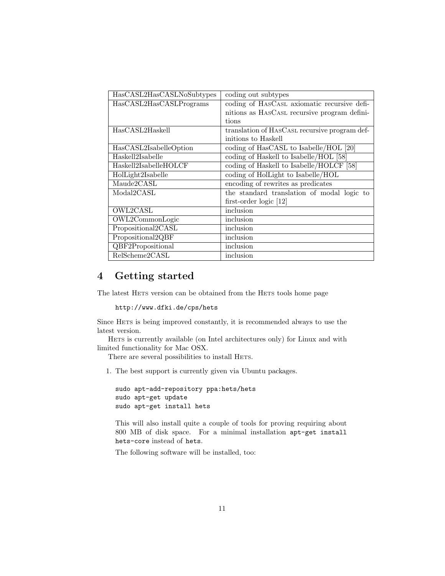| HasCASL2HasCASLNoSubtypes | coding out subtypes                           |
|---------------------------|-----------------------------------------------|
| HasCASL2HasCASLPrograms   | coding of HASCASL axiomatic recursive defi-   |
|                           | nitions as HASCASL recursive program defini-  |
|                           | tions                                         |
| HasCASL2Haskell           | translation of HASCASL recursive program def- |
|                           | initions to Haskell                           |
| HasCASL2IsabelleOption    | coding of HasCASL to Isabelle/HOL [20]        |
| Haskell2Isabelle          | coding of Haskell to Isabelle/HOL [58]        |
| Haskell2IsabelleHOLCF     | coding of Haskell to Isabelle/HOLCF [58]      |
| HolLight2Isabelle         | coding of HolLight to Isabelle/HOL            |
| Maude2CASL                | encoding of rewrites as predicates            |
| $_{\rm{Modal2CASL}}$      | the standard translation of modal logic to    |
|                           | first-order logic $[12]$                      |
| OWL2CASL                  | inclusion                                     |
| OWL2CommonLogic           | inclusion                                     |
| Propositional2CASL        | inclusion                                     |
| Propositional2QBF         | inclusion                                     |
| <b>QBF2Propositional</b>  | inclusion                                     |
| ReIScheme2CASL            | inclusion                                     |

# 4 Getting started

The latest HETS version can be obtained from the HETS tools home page

```
http://www.dfki.de/cps/hets
```
Since HETS is being improved constantly, it is recommended always to use the latest version.

HETS is currently available (on Intel architectures only) for Linux and with limited functionality for Mac OSX.

There are several possibilities to install HETS.

1. The best support is currently given via Ubuntu packages.

```
sudo apt-add-repository ppa:hets/hets
sudo apt-get update
sudo apt-get install hets
```
This will also install quite a couple of tools for proving requiring about 800 MB of disk space. For a minimal installation apt-get install hets-core instead of hets.

The following software will be installed, too: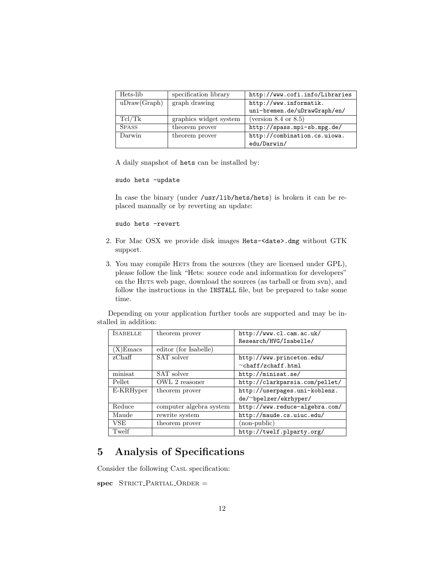| Hets-lib     | specification library  | http://www.cofi.info/Libraries |
|--------------|------------------------|--------------------------------|
| uDraw(Graph) | graph drawing          | http://www.informatik.         |
|              |                        | uni-bremen.de/uDrawGraph/en/   |
| Tcl/Tk       | graphics widget system | (version $8.4$ or $8.5$ )      |
| <b>SPASS</b> | theorem prover         | http://spass.mpi-sb.mpg.de/    |
| Darwin       | theorem prover         | http://combination.cs.uiowa.   |
|              |                        | edu/Darwin/                    |

A daily snapshot of hets can be installed by:

```
sudo hets -update
```
In case the binary (under /usr/lib/hets/hets) is broken it can be replaced manually or by reverting an update:

sudo hets -revert

- 2. For Mac OSX we provide disk images Hets-<date>.dmg without GTK support.
- 3. You may compile HETS from the sources (they are licensed under GPL), please follow the link "Hets: source code and information for developers" on the HETS web page, download the sources (as tarball or from svn), and follow the instructions in the INSTALL file, but be prepared to take some time.

Depending on your application further tools are supported and may be installed in addition:

| <b>ISABELLE</b> | theorem prover          | http://www.cl.cam.ac.uk/       |
|-----------------|-------------------------|--------------------------------|
|                 |                         | Research/HVG/Isabelle/         |
| $(X)$ Emacs     | editor (for Isabelle)   |                                |
| zChaff          | SAT solver              | http://www.princeton.edu/      |
|                 |                         | $\sim$ chaff/zchaff.html       |
| minisat         | SAT solver              | http://minisat.se/             |
| Pellet          | OWL 2 reasoner          | http://clarkparsia.com/pellet/ |
| E-KRHyper       | theorem prover          | http://userpages.uni-koblenz.  |
|                 |                         | de/~bpelzer/ekrhyper/          |
| Reduce          | computer algebra system | http://www.reduce-algebra.com/ |
| Maude           | rewrite system          | http://maude.cs.uiuc.edu/      |
| VSE             | theorem prover          | (non-public)                   |
| Twelf           |                         | http://twelf.plparty.org/      |

# 5 Analysis of Specifications

Consider the following CASL specification:

 $spec$  STRICT\_PARTIAL\_ORDER =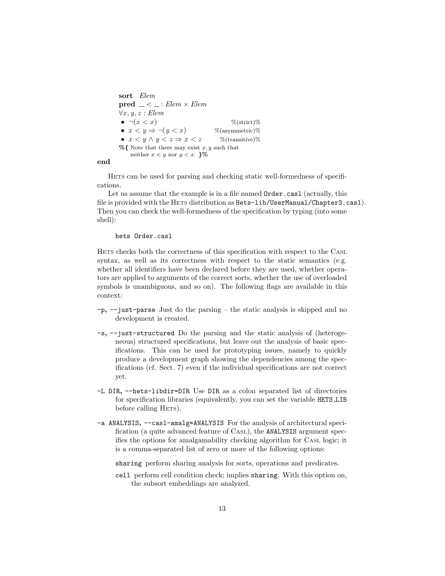```
sort Elem
pred \ldots \lt \ldots \vdots Elem \times Elem\forall x, y, z : Elem• \neg(x < x) % (strict)%
• x < y \Rightarrow \neg(y < x) % (asymmetric)%
• x < y \land y < z \Rightarrow x < z % (transitive)%
\% { Note that there may exist x, y such that
    neither x < y nor y < x. }%
```
end

HETS can be used for parsing and checking static well-formedness of specifications.

Let us assume that the example is in a file named  $Order.cas1$  (actually, this file is provided with the HETS distribution as Hets-lib/UserManual/Chapter3.casl). Then you can check the well-formedness of the specification by typing (into some shell):

#### hets Order.casl

HETS checks both the correctness of this specification with respect to the CASL syntax, as well as its correctness with respect to the static semantics (e.g. whether all identifiers have been declared before they are used, whether operators are applied to arguments of the correct sorts, whether the use of overloaded symbols is unambiguous, and so on). The following flags are available in this context:

- -p, --just-parse Just do the parsing the static analysis is skipped and no development is created.
- -s, --just-structured Do the parsing and the static analysis of (heterogeneous) structured specifications, but leave out the analysis of basic specifications. This can be used for prototyping issues, namely to quickly produce a development graph showing the dependencies among the specifications (cf. Sect. [7\)](#page-14-0) even if the individual specifications are not correct yet.
- -L DIR, --hets-libdir=DIR Use DIR as a colon separated list of directories for specification libraries (equivalently, you can set the variable HETS LIB before calling HETS).
- -a ANALYSIS, --casl-amalg=ANALYSIS For the analysis of architectural specification (a quite advanced feature of CASL), the ANALYSIS argument specifies the options for amalgamability checking algorithm for CASL logic; it is a comma-separated list of zero or more of the following options:
	- sharing perform sharing analysis for sorts, operations and predicates.
	- cell perform cell condition check; implies sharing. With this option on, the subsort embeddings are analyzed.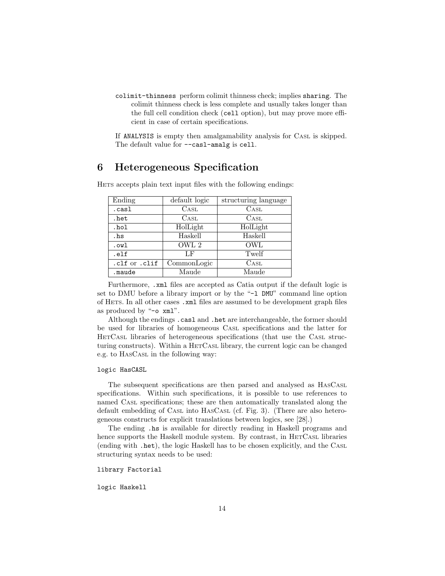colimit-thinness perform colimit thinness check; implies sharing. The colimit thinness check is less complete and usually takes longer than the full cell condition check (cell option), but may prove more efficient in case of certain specifications.

If ANALYSIS is empty then amalgamability analysis for CASL is skipped. The default value for --cas1-amalg is cell.

# <span id="page-13-0"></span>6 Heterogeneous Specification

| Ending        | default logic | structuring language |
|---------------|---------------|----------------------|
| .casl         | $\rm CasL$    | CASL <sup></sup>     |
| .het          | $\rm CasL$    | CASL <sup></sup>     |
| .hol          | HolLight      | HolLight             |
| .hs           | Haskell       | Haskell              |
| .owl          | OWL 2         | <b>OWL</b>           |
| .elf          | LF            | Twelf                |
| .clf or .clif | CommonLogic   | CASL <sup></sup>     |
| .maude        | Maude         | Maude                |

HETS accepts plain text input files with the following endings:

Furthermore, .xml files are accepted as Catia output if the default logic is set to DMU before a library import or by the "-l DMU" command line option of HETS. In all other cases .xml files are assumed to be development graph files as produced by "-o xml".

Although the endings .casl and .het are interchangeable, the former should be used for libraries of homogeneous CASL specifications and the latter for HETCASL libraries of heterogeneous specifications (that use the CASL structuring constructs). Within a HETCASL library, the current logic can be changed e.g. to HASCASL in the following way:

#### logic HasCASL

The subsequent specifications are then parsed and analysed as HASCASL specifications. Within such specifications, it is possible to use references to named CASL specifications; these are then automatically translated along the default embedding of CASL into HASCASL (cf. Fig. [3\)](#page-2-0). (There are also heterogeneous constructs for explicit translations between logics, see [\[28\]](#page-40-7).)

The ending .hs is available for directly reading in Haskell programs and hence supports the Haskell module system. By contrast, in HETCASL libraries (ending with .het), the logic Haskell has to be chosen explicitly, and the CASL structuring syntax needs to be used:

#### library Factorial

logic Haskell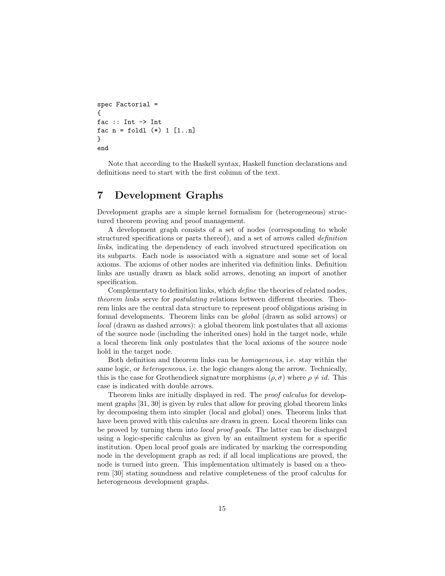```
spec Factorial =
{
fac :: Int -> Int
fac n = foldl (*) 1 [1..n]}
end
```
Note that according to the Haskell syntax, Haskell function declarations and definitions need to start with the first column of the text.

# <span id="page-14-0"></span>7 Development Graphs

Development graphs are a simple kernel formalism for (heterogeneous) structured theorem proving and proof management.

A development graph consists of a set of nodes (corresponding to whole structured specifications or parts thereof), and a set of arrows called definition links, indicating the dependency of each involved structured specification on its subparts. Each node is associated with a signature and some set of local axioms. The axioms of other nodes are inherited via definition links. Definition links are usually drawn as black solid arrows, denoting an import of another specification.

Complementary to definition links, which define the theories of related nodes, theorem links serve for postulating relations between different theories. Theorem links are the central data structure to represent proof obligations arising in formal developments. Theorem links can be global (drawn as solid arrows) or local (drawn as dashed arrows): a global theorem link postulates that all axioms of the source node (including the inherited ones) hold in the target node, while a local theorem link only postulates that the local axioms of the source node hold in the target node.

Both definition and theorem links can be homogeneous, i.e. stay within the same logic, or heterogeneous, i.e. the logic changes along the arrow. Technically, this is the case for Grothendieck signature morphisms  $(\rho, \sigma)$  where  $\rho \neq id$ . This case is indicated with double arrows.

Theorem links are initially displayed in red. The *proof calculus* for development graphs [\[31,](#page-40-9) [30\]](#page-40-0) is given by rules that allow for proving global theorem links by decomposing them into simpler (local and global) ones. Theorem links that have been proved with this calculus are drawn in green. Local theorem links can be proved by turning them into local proof goals. The latter can be discharged using a logic-specific calculus as given by an entailment system for a specific institution. Open local proof goals are indicated by marking the corresponding node in the development graph as red; if all local implications are proved, the node is turned into green. This implementation ultimately is based on a theorem [\[30\]](#page-40-0) stating soundness and relative completeness of the proof calculus for heterogeneous development graphs.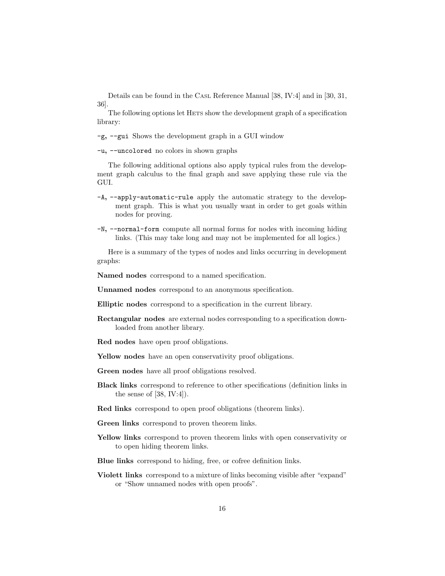Details can be found in the CASL Reference Manual [\[38,](#page-41-0) IV:4] and in [\[30,](#page-40-0) [31,](#page-40-9) [36\]](#page-41-1).

The following options let HETS show the development graph of a specification library:

-g, --gui Shows the development graph in a GUI window

-u, --uncolored no colors in shown graphs

The following additional options also apply typical rules from the development graph calculus to the final graph and save applying these rule via the GUI.

- -A, --apply-automatic-rule apply the automatic strategy to the development graph. This is what you usually want in order to get goals within nodes for proving.
- -N, --normal-form compute all normal forms for nodes with incoming hiding links. (This may take long and may not be implemented for all logics.)

Here is a summary of the types of nodes and links occurring in development graphs:

Named nodes correspond to a named specification.

Unnamed nodes correspond to an anonymous specification.

Elliptic nodes correspond to a specification in the current library.

- Rectangular nodes are external nodes corresponding to a specification downloaded from another library.
- Red nodes have open proof obligations.

Yellow nodes have an open conservativity proof obligations.

Green nodes have all proof obligations resolved.

- Black links correspond to reference to other specifications (definition links in the sense of  $[38, IV:4]$  $[38, IV:4]$ .
- Red links correspond to open proof obligations (theorem links).
- Green links correspond to proven theorem links.
- Yellow links correspond to proven theorem links with open conservativity or to open hiding theorem links.
- Blue links correspond to hiding, free, or cofree definition links.
- Violett links correspond to a mixture of links becoming visible after "expand" or "Show unnamed nodes with open proofs".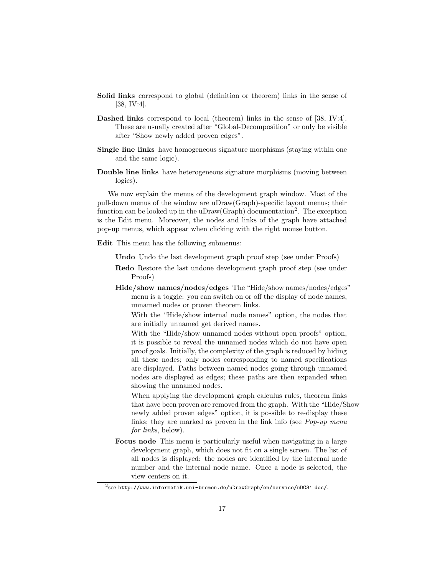- Solid links correspond to global (definition or theorem) links in the sense of [\[38,](#page-41-0) IV:4].
- Dashed links correspond to local (theorem) links in the sense of [\[38,](#page-41-0) IV:4]. These are usually created after "Global-Decomposition" or only be visible after "Show newly added proven edges".
- Single line links have homogeneous signature morphisms (staying within one and the same logic).
- Double line links have heterogeneous signature morphisms (moving between logics).

We now explain the menus of the development graph window. Most of the pull-down menus of the window are uDraw(Graph)-specific layout menus; their function can be looked up in the uDraw(Graph) documentation<sup>[2](#page-16-0)</sup>. The exception is the Edit menu. Moreover, the nodes and links of the graph have attached pop-up menus, which appear when clicking with the right mouse button.

Edit This menu has the following submenus:

Undo Undo the last development graph proof step (see under Proofs)

- Redo Restore the last undone development graph proof step (see under Proofs)
- Hide/show names/nodes/edges The "Hide/show names/nodes/edges" menu is a toggle: you can switch on or off the display of node names, unnamed nodes or proven theorem links.

With the "Hide/show internal node names" option, the nodes that are initially unnamed get derived names.

With the "Hide/show unnamed nodes without open proofs" option, it is possible to reveal the unnamed nodes which do not have open proof goals. Initially, the complexity of the graph is reduced by hiding all these nodes; only nodes corresponding to named specifications are displayed. Paths between named nodes going through unnamed nodes are displayed as edges; these paths are then expanded when showing the unnamed nodes.

When applying the development graph calculus rules, theorem links that have been proven are removed from the graph. With the "Hide/Show newly added proven edges" option, it is possible to re-display these links; they are marked as proven in the link info (see *Pop-up menu* for links, below).

Focus node This menu is particularly useful when navigating in a large development graph, which does not fit on a single screen. The list of all nodes is displayed: the nodes are identified by the internal node number and the internal node name. Once a node is selected, the view centers on it.

<span id="page-16-0"></span> $^2$ see [http://www.informatik.uni-bremen.de/uDrawGraph/en/service/uDG31](http://www.informatik.uni-bremen.de/uDrawGraph/en/service/uDG31_doc/)\_doc/.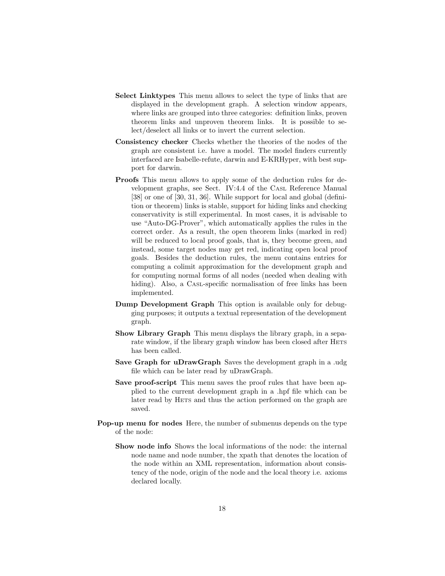- Select Linktypes This menu allows to select the type of links that are displayed in the development graph. A selection window appears, where links are grouped into three categories: definition links, proven theorem links and unproven theorem links. It is possible to select/deselect all links or to invert the current selection.
- Consistency checker Checks whether the theories of the nodes of the graph are consistent i.e. have a model. The model finders currently interfaced are Isabelle-refute, darwin and E-KRHyper, with best support for darwin.
- Proofs This menu allows to apply some of the deduction rules for development graphs, see Sect. IV:4.4 of the CASL Reference Manual [\[38\]](#page-41-0) or one of [\[30,](#page-40-0) [31,](#page-40-9) [36\]](#page-41-1). While support for local and global (definition or theorem) links is stable, support for hiding links and checking conservativity is still experimental. In most cases, it is advisable to use "Auto-DG-Prover", which automatically applies the rules in the correct order. As a result, the open theorem links (marked in red) will be reduced to local proof goals, that is, they become green, and instead, some target nodes may get red, indicating open local proof goals. Besides the deduction rules, the menu contains entries for computing a colimit approximation for the development graph and for computing normal forms of all nodes (needed when dealing with hiding). Also, a CASL-specific normalisation of free links has been implemented.
- Dump Development Graph This option is available only for debugging purposes; it outputs a textual representation of the development graph.
- Show Library Graph This menu displays the library graph, in a separate window, if the library graph window has been closed after HETS has been called.
- Save Graph for uDrawGraph Saves the development graph in a .udg file which can be later read by uDrawGraph.
- Save proof-script This menu saves the proof rules that have been applied to the current development graph in a .hpf file which can be later read by HETS and thus the action performed on the graph are saved.
- Pop-up menu for nodes Here, the number of submenus depends on the type of the node:
	- Show node info Shows the local informations of the node: the internal node name and node number, the xpath that denotes the location of the node within an XML representation, information about consistency of the node, origin of the node and the local theory i.e. axioms declared locally.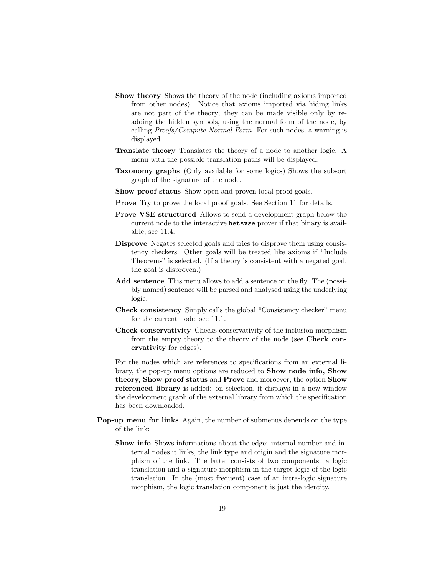- Show theory Shows the theory of the node (including axioms imported from other nodes). Notice that axioms imported via hiding links are not part of the theory; they can be made visible only by readding the hidden symbols, using the normal form of the node, by calling Proofs/Compute Normal Form. For such nodes, a warning is displayed.
- Translate theory Translates the theory of a node to another logic. A menu with the possible translation paths will be displayed.
- Taxonomy graphs (Only available for some logics) Shows the subsort graph of the signature of the node.
- Show proof status Show open and proven local proof goals.
- Prove Try to prove the local proof goals. See Section [11](#page-24-0) for details.
- Prove VSE structured Allows to send a development graph below the current node to the interactive hetsvse prover if that binary is available, see [11.4.](#page-31-0)
- Disprove Negates selected goals and tries to disprove them using consistency checkers. Other goals will be treated like axioms if "Include Theorems" is selected. (If a theory is consistent with a negated goal, the goal is disproven.)
- Add sentence This menu allows to add a sentence on the fly. The (possibly named) sentence will be parsed and analysed using the underlying logic.
- Check consistency Simply calls the global "Consistency checker" menu for the current node, see [11.1.](#page-26-0)
- Check conservativity Checks conservativity of the inclusion morphism from the empty theory to the theory of the node (see Check conervativity for edges).

For the nodes which are references to specifications from an external library, the pop-up menu options are reduced to Show node info, Show theory, Show proof status and Prove and moroever, the option Show referenced library is added: on selection, it displays in a new window the development graph of the external library from which the specification has been downloaded.

- Pop-up menu for links Again, the number of submenus depends on the type of the link:
	- Show info Shows informations about the edge: internal number and internal nodes it links, the link type and origin and the signature morphism of the link. The latter consists of two components: a logic translation and a signature morphism in the target logic of the logic translation. In the (most frequent) case of an intra-logic signature morphism, the logic translation component is just the identity.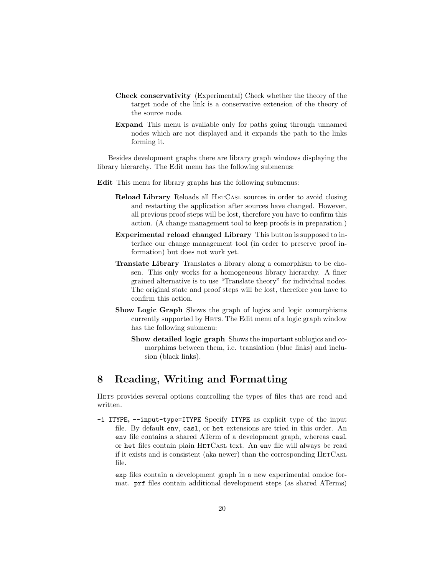- Check conservativity (Experimental) Check whether the theory of the target node of the link is a conservative extension of the theory of the source node.
- Expand This menu is available only for paths going through unnamed nodes which are not displayed and it expands the path to the links forming it.

Besides development graphs there are library graph windows displaying the library hierarchy. The Edit menu has the following submenus:

- Edit This menu for library graphs has the following submenus:
	- Reload Library Reloads all HETCASL sources in order to avoid closing and restarting the application after sources have changed. However, all previous proof steps will be lost, therefore you have to confirm this action. (A change management tool to keep proofs is in preparation.)
	- Experimental reload changed Library This button is supposed to interface our change management tool (in order to preserve proof information) but does not work yet.
	- Translate Library Translates a library along a comorphism to be chosen. This only works for a homogeneous library hierarchy. A finer grained alternative is to use "Translate theory" for individual nodes. The original state and proof steps will be lost, therefore you have to confirm this action.
	- Show Logic Graph Shows the graph of logics and logic comorphisms currently supported by HETS. The Edit menu of a logic graph window has the following submenu:
		- Show detailed logic graph Shows the important sublogics and comorphims between them, i.e. translation (blue links) and inclusion (black links).

# 8 Reading, Writing and Formatting

HETS provides several options controlling the types of files that are read and written.

-i ITYPE, --input-type=ITYPE Specify ITYPE as explicit type of the input file. By default env, casl, or het extensions are tried in this order. An env file contains a shared ATerm of a development graph, whereas casl or het files contain plain HETCASL text. An env file will always be read if it exists and is consistent (aka newer) than the corresponding HETCASL file.

exp files contain a development graph in a new experimental omdoc format. prf files contain additional development steps (as shared ATerms)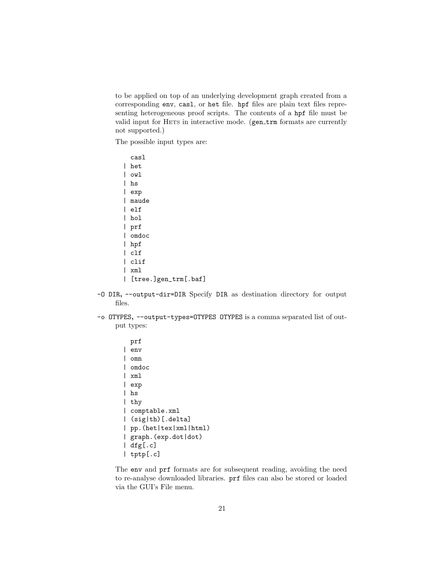to be applied on top of an underlying development graph created from a corresponding env, casl, or het file. hpf files are plain text files representing heterogeneous proof scripts. The contents of a hpf file must be valid input for HETS in interactive mode. (gen\_trm formats are currently not supported.)

The possible input types are:

| casl                 |
|----------------------|
| het                  |
| owl                  |
| hs                   |
| exp                  |
| maude                |
| elf                  |
| hol                  |
| prf                  |
| omdoc                |
| hpf                  |
| c1f                  |
| clif                 |
| xml                  |
| [tree.]gen_trm[.baf] |

- -O DIR, --output-dir=DIR Specify DIR as destination directory for output files.
- -o OTYPES, --output-types=OTYPES OTYPES is a comma separated list of output types:

```
prf
| env
| omn
| omdoc
| xml
| exp
| hs
| thy
| comptable.xml
| (sig|th)[.delta]
| pp.(het|tex|xml|html)
| graph.(exp.dot|dot)
| dfg[.c]
| tptp[.c]
```
The env and prf formats are for subsequent reading, avoiding the need to re-analyse downloaded libraries. prf files can also be stored or loaded via the GUI's File menu.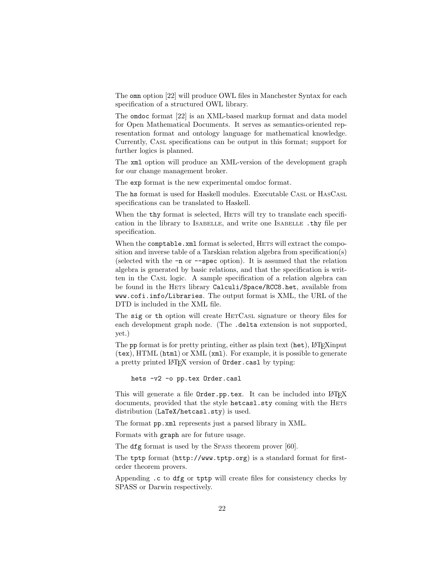The omn option [\[22\]](#page-39-10) will produce OWL files in Manchester Syntax for each specification of a structured OWL library.

The omdoc format [\[22\]](#page-39-10) is an XML-based markup format and data model for Open Mathematical Documents. It serves as semantics-oriented representation format and ontology language for mathematical knowledge. Currently, CASL specifications can be output in this format; support for further logics is planned.

The xml option will produce an XML-version of the development graph for our change management broker.

The exp format is the new experimental omdoc format.

The hs format is used for Haskell modules. Executable CASL or HASCASL specifications can be translated to Haskell.

When the **thy** format is selected, HETS will try to translate each specification in the library to ISABELLE, and write one ISABELLE .thy file per specification.

When the comptable.xml format is selected, HETS will extract the composition and inverse table of a Tarskian relation algebra from specification(s) (selected with the -n or --spec option). It is assumed that the relation algebra is generated by basic relations, and that the specification is written in the CASL logic. A sample specification of a relation algebra can be found in the HETS library Calculi/Space/RCC8.het, available from www.cofi.info/Libraries. The output format is XML, the URL of the DTD is included in the XML file.

The sig or th option will create HETCASL signature or theory files for each development graph node. (The .delta extension is not supported, yet.)

The pp format is for pretty printing, either as plain text (het), LAT<sub>EX</sub> input (tex), HTML (html) or XML (xml). For example, it is possible to generate a pretty printed LAT<sub>EX</sub> version of **Order**.cas1 by typing:

hets -v2 -o pp.tex Order.casl

This will generate a file Order.pp.tex. It can be included into LATEX documents, provided that the style hetcasl.sty coming with the HETS distribution (LaTeX/hetcasl.sty) is used.

The format pp.xml represents just a parsed library in XML.

Formats with graph are for future usage.

The dfg format is used by the SPASS theorem prover [\[60\]](#page-42-4).

The tptp format (<http://www.tptp.org>) is a standard format for firstorder theorem provers.

Appending .c to dfg or tptp will create files for consistency checks by SPASS or Darwin respectively.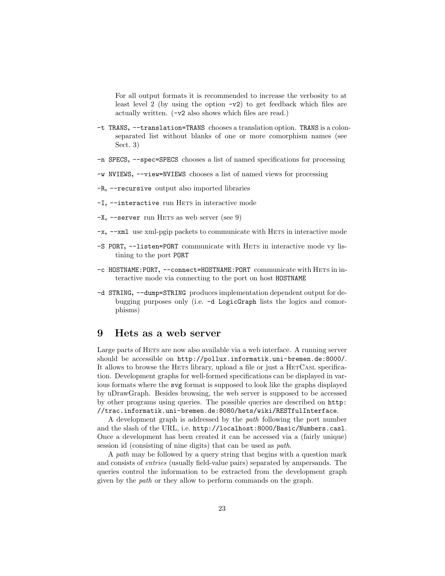For all output formats it is recommended to increase the verbosity to at least level 2 (by using the option  $-v2$ ) to get feedback which files are actually written. (-v2 also shows which files are read.)

- -t TRANS, --translation=TRANS chooses a translation option. TRANS is a colonseparated list without blanks of one or more comorphism names (see Sect. [3\)](#page-6-0)
- -n SPECS, --spec=SPECS chooses a list of named specifications for processing
- -w NVIEWS, --view=NVIEWS chooses a list of named views for processing
- -R, --recursive output also imported libraries
- -I, --interactive run HETS in interactive mode
- $-X$ ,  $-$ server run HETS as web server (see [9\)](#page-22-0)
- -x, --xml use xml-pgip packets to communicate with HETS in interactive mode
- -S PORT, --listen=PORT communicate with HETS in interactive mode vy listining to the port PORT
- -c HOSTNAME:PORT, --connect=HOSTNAME:PORT communicate with HETS in interactive mode via connecting to the port on host HOSTNAME
- -d STRING, --dump=STRING produces implementation dependent output for debugging purposes only (i.e. -d LogicGraph lists the logics and comorphisms)

# <span id="page-22-0"></span>9 Hets as a web server

Large parts of HETS are now also available via a web interface. A running server should be accessible on <http://pollux.informatik.uni-bremen.de:8000/>. It allows to browse the HETS library, upload a file or just a HETCASL specification. Development graphs for well-formed specifications can be displayed in various formats where the svg format is supposed to look like the graphs displayed by uDrawGraph. Besides browsing, the web server is supposed to be accessed by other programs using queries. The possible queries are described on [http:](http://trac.informatik.uni-bremen.de:8080/hets/wiki/RESTfulInterface) [//trac.informatik.uni-bremen.de:8080/hets/wiki/RESTfulInterface](http://trac.informatik.uni-bremen.de:8080/hets/wiki/RESTfulInterface).

A development graph is addressed by the path following the port number and the slash of the URL, i.e. <http://localhost:8000/Basic/Numbers.casl>. Once a development has been created it can be accessed via a (fairly unique) session id (consisting of nine digits) that can be used as path.

A path may be followed by a query string that begins with a question mark and consists of entries (usually field-value pairs) separated by ampersands. The queries control the information to be extracted from the development graph given by the path or they allow to perform commands on the graph.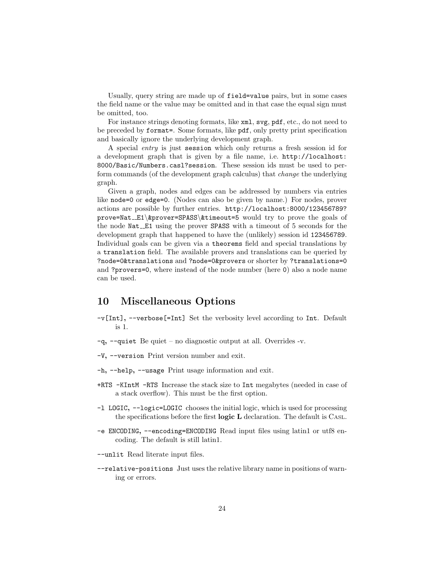Usually, query string are made up of field=value pairs, but in some cases the field name or the value may be omitted and in that case the equal sign must be omitted, too.

For instance strings denoting formats, like xml, svg, pdf, etc., do not need to be preceded by format=. Some formats, like pdf, only pretty print specification and basically ignore the underlying development graph.

A special entry is just session which only returns a fresh session id for a development graph that is given by a file name, i.e. [http://localhost:](http://localhost:8000/Basic/Numbers.casl?session) [8000/Basic/Numbers.casl?session](http://localhost:8000/Basic/Numbers.casl?session). These session ids must be used to perform commands (of the development graph calculus) that change the underlying graph.

Given a graph, nodes and edges can be addressed by numbers via entries like node=0 or edge=0. (Nodes can also be given by name.) For nodes, prover actions are possible by further entries. [http://localhost:8000/123456789?](http://localhost:8000/123456789?prove=Nat__E1&prover=SPASS&timeout=5) prove=Nat\_E1\[&prover=SPASS](http://localhost:8000/123456789?prove=Nat__E1&prover=SPASS&timeout=5)\&timeout=5 would try to prove the goals of the node Nat E1 using the prover SPASS with a timeout of 5 seconds for the development graph that happened to have the (unlikely) session id 123456789. Individual goals can be given via a theorems field and special translations by a translation field. The available provers and translations can be queried by ?node=0&translations and ?node=0&provers or shorter by ?translations=0 and ?provers=0, where instead of the node number (here 0) also a node name can be used.

# 10 Miscellaneous Options

- -v[Int], --verbose[=Int] Set the verbosity level according to Int. Default is 1.
- -q, --quiet Be quiet no diagnostic output at all. Overrides -v.
- -V, --version Print version number and exit.
- -h, --help, --usage Print usage information and exit.
- +RTS -KIntM -RTS Increase the stack size to Int megabytes (needed in case of a stack overflow). This must be the first option.
- -l LOGIC, --logic=LOGIC chooses the initial logic, which is used for processing the specifications before the first logic L declaration. The default is CASL.
- -e ENCODING, --encoding=ENCODING Read input files using latin1 or utf8 encoding. The default is still latin1.
- --unlit Read literate input files.
- --relative-positions Just uses the relative library name in positions of warning or errors.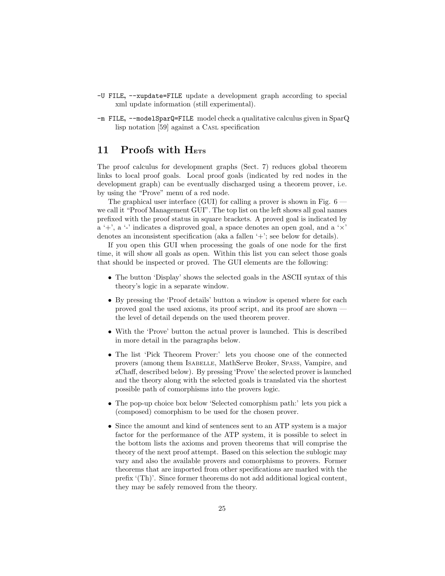- -U FILE, --xupdate=FILE update a development graph according to special xml update information (still experimental).
- -m FILE, --modelSparQ=FILE model check a qualitative calculus given in SparQ lisp notation [\[59\]](#page-42-8) against a CASL specification

# <span id="page-24-0"></span>11 Proofs with HETS

The proof calculus for development graphs (Sect. [7\)](#page-14-0) reduces global theorem links to local proof goals. Local proof goals (indicated by red nodes in the development graph) can be eventually discharged using a theorem prover, i.e. by using the "Prove" menu of a red node.

The graphical user interface (GUI) for calling a prover is shown in Fig. [6](#page-25-0) we call it "Proof Management GUI". The top list on the left shows all goal names prefixed with the proof status in square brackets. A proved goal is indicated by a '+', a '-' indicates a disproved goal, a space denotes an open goal, and a ' $\times$ ' denotes an inconsistent specification (aka a fallen '+'; see below for details).

If you open this GUI when processing the goals of one node for the first time, it will show all goals as open. Within this list you can select those goals that should be inspected or proved. The GUI elements are the following:

- The button 'Display' shows the selected goals in the ASCII syntax of this theory's logic in a separate window.
- By pressing the 'Proof details' button a window is opened where for each proved goal the used axioms, its proof script, and its proof are shown the level of detail depends on the used theorem prover.
- With the 'Prove' button the actual prover is launched. This is described in more detail in the paragraphs below.
- The list 'Pick Theorem Prover:' lets you choose one of the connected provers (among them ISABELLE, MathServe Broker, SPASS, Vampire, and zChaff, described below). By pressing 'Prove' the selected prover is launched and the theory along with the selected goals is translated via the shortest possible path of comorphisms into the provers logic.
- The pop-up choice box below 'Selected comorphism path:' lets you pick a (composed) comorphism to be used for the chosen prover.
- Since the amount and kind of sentences sent to an ATP system is a major factor for the performance of the ATP system, it is possible to select in the bottom lists the axioms and proven theorems that will comprise the theory of the next proof attempt. Based on this selection the sublogic may vary and also the available provers and comorphisms to provers. Former theorems that are imported from other specifications are marked with the prefix '(Th)'. Since former theorems do not add additional logical content, they may be safely removed from the theory.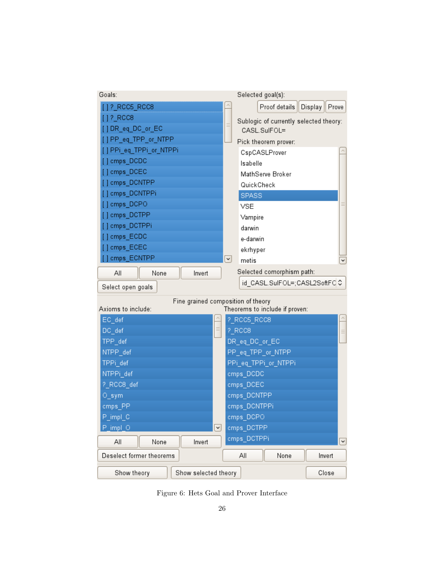| Goals:                   |                                    | Selected goal(s):                      |                |
|--------------------------|------------------------------------|----------------------------------------|----------------|
| [ ] ? RCC5 RCC8          |                                    | Proof details<br>Display               | Prove          |
| $[ ] ? ]$ RCC8           |                                    | Sublogic of currently selected theory: |                |
| [] DR_eq_DC_or_EC        | $\equiv$                           | CASL.SulFOL=                           |                |
| [] PP_eq_TPP_or_NTPP     |                                    | Pick theorem prover:                   |                |
| [ ] PPi_eq_TPPi_or_NTPPi |                                    | CspCASLProver                          |                |
| [] cmps_DCDC             |                                    | Isabelle                               |                |
| [] cmps_DCEC             |                                    | MathServe Broker                       |                |
| [] cmps_DCNTPP           |                                    | QuickCheck                             |                |
| [] cmps_DCNTPPi          |                                    | <b>SPASS</b>                           |                |
| [] cmps DCPO             |                                    | VSE                                    | Ξ              |
| [] cmps_DCTPP            |                                    | Vampire                                |                |
| [] cmps_DCTPPi           |                                    | darwin                                 |                |
| [] cmps_ECDC             |                                    | e-darwin                               |                |
| [] cmps ECEC             |                                    | ekrhyper                               |                |
| [] cmps_ECNTPP           | $\vert \mathbf{v} \vert$           | metis                                  | $\checkmark$   |
| All<br>None              | Invert                             | Selected comorphism path:              |                |
| Select open goals        |                                    | id_CASL.SulFOL=;CASL2SoftFC C          |                |
|                          |                                    |                                        |                |
| Axioms to include:       | Fine grained composition of theory | Theorems to include if proven:         |                |
| EC_def                   |                                    | ?_RCC5_RCC8                            |                |
| DC def                   | E                                  | ?_RCC8                                 | $\equiv$       |
| TPP_def                  |                                    | DR_eq_DC_or_EC                         |                |
| NTPP_def                 |                                    | PP_eq_TPP_or_NTPP                      |                |
| TPPi_def                 |                                    | PPi_eq_TPPi_or_NTPPi                   |                |
| NTPPi_def                |                                    | cmps_DCDC                              |                |
| ?_RCC8_def               |                                    | cmps_DCEC                              |                |
|                          |                                    |                                        |                |
| $O$ _sym                 |                                    | cmps_DCNTPP                            |                |
| cmps_PP                  |                                    | cmps_DCNTPPi                           |                |
| $P\_impl\_C$             |                                    | cmps_DCPO                              |                |
| P_impl_O                 | $\vert \mathbf{v} \vert$           | cmps_DCTPP                             |                |
| All<br>None              | Invert                             | cmps DCTPPi                            | $\overline{[}$ |
| Deselect former theorems |                                    | All<br>None<br>Invert                  |                |

<span id="page-25-0"></span>Figure 6: Hets Goal and Prover Interface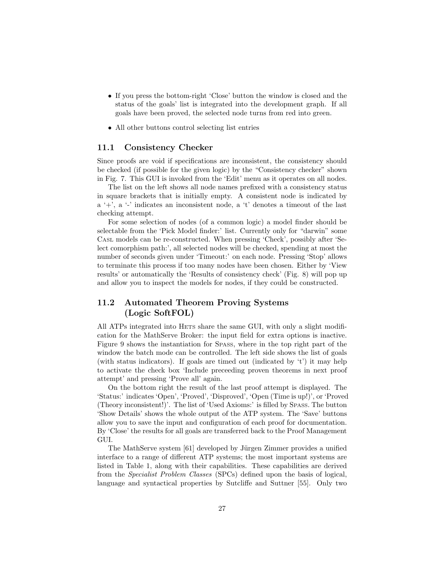- If you press the bottom-right 'Close' button the window is closed and the status of the goals' list is integrated into the development graph. If all goals have been proved, the selected node turns from red into green.
- All other buttons control selecting list entries

### <span id="page-26-0"></span>11.1 Consistency Checker

Since proofs are void if specifications are inconsistent, the consistency should be checked (if possible for the given logic) by the "Consistency checker" shown in Fig. [7.](#page-27-0) This GUI is invoked from the 'Edit' menu as it operates on all nodes.

The list on the left shows all node names prefixed with a consistency status in square brackets that is initially empty. A consistent node is indicated by a '+', a '-' indicates an inconsistent node, a 't' denotes a timeout of the last checking attempt.

For some selection of nodes (of a common logic) a model finder should be selectable from the 'Pick Model finder:' list. Currently only for "darwin" some CASL models can be re-constructed. When pressing 'Check', possibly after 'Select comorphism path:', all selected nodes will be checked, spending at most the number of seconds given under 'Timeout:' on each node. Pressing 'Stop' allows to terminate this process if too many nodes have been chosen. Either by 'View results' or automatically the 'Results of consistency check' (Fig. [8\)](#page-28-0) will pop up and allow you to inspect the models for nodes, if they could be constructed.

### <span id="page-26-1"></span>11.2 Automated Theorem Proving Systems (Logic SoftFOL)

All ATPs integrated into HETS share the same GUI, with only a slight modification for the MathServe Broker: the input field for extra options is inactive. Figure [9](#page-29-0) shows the instantiation for SPASS, where in the top right part of the window the batch mode can be controlled. The left side shows the list of goals (with status indicators). If goals are timed out (indicated by 't') it may help to activate the check box 'Include preceeding proven theorems in next proof attempt' and pressing 'Prove all' again.

On the bottom right the result of the last proof attempt is displayed. The 'Status:' indicates 'Open', 'Proved', 'Disproved', 'Open (Time is up!)', or 'Proved (Theory inconsistent!)'. The list of 'Used Axioms:' is filled by SPASS. The button 'Show Details' shows the whole output of the ATP system. The 'Save' buttons allow you to save the input and configuration of each proof for documentation. By 'Close' the results for all goals are transferred back to the Proof Management GUI.

The MathServe system [\[61\]](#page-43-0) developed by Jürgen Zimmer provides a unified interface to a range of different ATP systems; the most important systems are listed in Table [1,](#page-30-0) along with their capabilities. These capabilities are derived from the Specialist Problem Classes (SPCs) defined upon the basis of logical, language and syntactical properties by Sutcliffe and Suttner [\[55\]](#page-42-9). Only two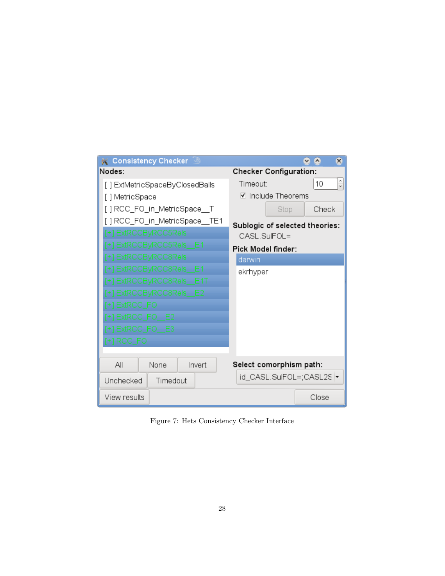| <b>M</b> Consistency Checker   |                                                | $\boldsymbol{\mathsf{x}}$ |
|--------------------------------|------------------------------------------------|---------------------------|
| Nodes:                         | <b>Checker Configuration:</b>                  |                           |
| [] ExtMetricSpaceByClosedBalls | Timeout:                                       | $\hat{\cdot}$<br>10       |
| [ ] MetricSpace                | ☑ Include Theorems                             |                           |
| [ ] RCC_FO_in_MetricSpace__T   | Stop                                           | Check                     |
| [] RCC_FO_in_MetricSpace__TE1  |                                                |                           |
| +] ExtRCCByRCC5Rels            | Sublogic of selected theories:<br>CASL.SulFOL= |                           |
| +] ExtRCCByRCC5Rels E1         | Pick Model finder:                             |                           |
| [+] ExtRCCByRCC8Rels:          | darwin                                         |                           |
| [+] ExtRCCByRCC8Rels E1        | ekrhyper                                       |                           |
| +1 ExtRCCByRCC8Rels E1T        |                                                |                           |
| +1 ExtRCCByRCC8Rels E2         |                                                |                           |
| $[+]$ ExtRCC_FO $-$            |                                                |                           |
| [+] ExtRCC FO E2               |                                                |                           |
| [+] ExtRCC_FO__E3__            |                                                |                           |
| [+] RCC_FO ==                  |                                                |                           |
|                                |                                                |                           |
| Invert<br>Αll<br>None          | Select comorphism path:                        |                           |
| Unchecked<br>Timedout          | id_CASL.SulFOL=;CASL2S  ▼                      |                           |
| View results                   |                                                | Close                     |

<span id="page-27-0"></span>Figure 7: Hets Consistency Checker Interface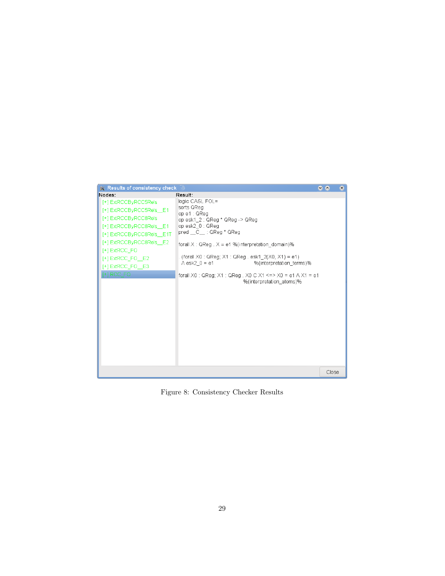| <b>K</b> Results of consistency check |                                                                                               | $\bullet$ |       | $\infty$ |
|---------------------------------------|-----------------------------------------------------------------------------------------------|-----------|-------|----------|
| Nodes:                                | Result:                                                                                       |           |       |          |
| [+] ExtRCCByRCC5Rels                  | logic CASL.FOL=                                                                               |           |       |          |
| [+] ExtRCCByRCC5Rels E1               | sorts QReg                                                                                    |           |       |          |
| [+] ExtRCCByRCC8Rels                  | op e1: QReg<br>op esk1_2 : QReg * QReg -> QReg                                                |           |       |          |
| [+] ExtRCCByRCC8Rels E1               | op esk2 0 : QReq                                                                              |           |       |          |
| [+] ExtRCCByRCC8Rels E1T              | pred __C__: QReg * QReg                                                                       |           |       |          |
| [+] ExtRCCByRCC8Rels E2               | forall $X: Q$ Reg. $X = e1$ % (interpretation domain)%                                        |           |       |          |
| [+] ExtRCC FO                         |                                                                                               |           |       |          |
| $[+]$ ExtRCC FO E2                    | . (forall X0 : QReg; X1 : QReg . esk1 $2(X0, X1) = e1$ )                                      |           |       |          |
| [+] ExtRCC FO E3                      | $\triangle$ esk2 $0 = e1$<br>%(interpretation terms)%                                         |           |       |          |
| $[+]$ RCC FO $]$                      | forall X0 : QReq: X1 : QReq . X0 C X1 <=> X0 = e1 $\land$ X1 = e1<br>%(interpretation atoms)% |           |       |          |
|                                       |                                                                                               |           | Close |          |

<span id="page-28-0"></span>Figure 8: Consistency Checker Results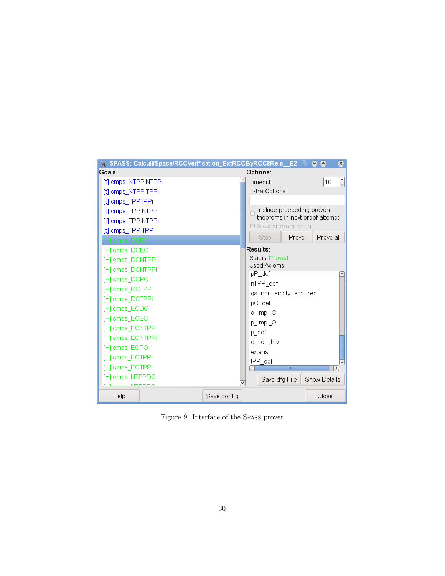

<span id="page-29-0"></span>Figure 9: Interface of the SPASS prover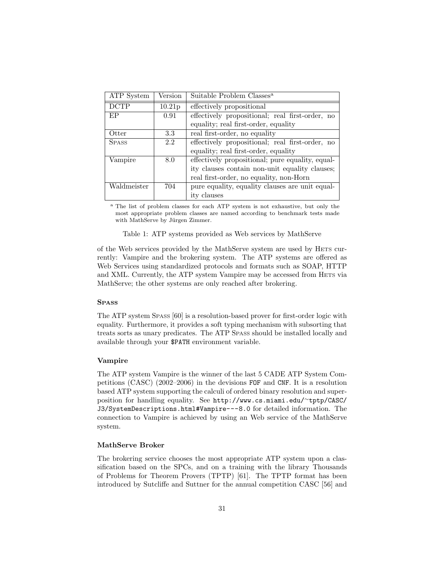| ATP System   | Version            | Suitable Problem Classes <sup>a</sup>            |
|--------------|--------------------|--------------------------------------------------|
| <b>DCTP</b>  | 10.21 <sub>p</sub> | effectively propositional                        |
| EP           | 0.91               | effectively propositional; real first-order, no  |
|              |                    | equality; real first-order, equality             |
| Otter        | 3.3                | real first-order, no equality                    |
| <b>SPASS</b> | 2.2                | effectively propositional; real first-order, no  |
|              |                    | equality; real first-order, equality             |
| Vampire      | 8.0                | effectively propositional; pure equality, equal- |
|              |                    | ity clauses contain non-unit equality clauses;   |
|              |                    | real first-order, no equality, non-Horn          |
| Waldmeister  | 704                | pure equality, equality clauses are unit equal-  |
|              |                    | ity clauses                                      |

<sup>a</sup> The list of problem classes for each ATP system is not exhaustive, but only the most appropriate problem classes are named according to benchmark tests made with MathServe by Jürgen Zimmer.

<span id="page-30-0"></span>Table 1: ATP systems provided as Web services by MathServe

of the Web services provided by the MathServe system are used by HETS currently: Vampire and the brokering system. The ATP systems are offered as Web Services using standardized protocols and formats such as SOAP, HTTP and XML. Currently, the ATP system Vampire may be accessed from HETS via MathServe; the other systems are only reached after brokering.

#### SPASS

The ATP system SPASS [\[60\]](#page-42-4) is a resolution-based prover for first-order logic with equality. Furthermore, it provides a soft typing mechanism with subsorting that treats sorts as unary predicates. The ATP SPASS should be installed locally and available through your \$PATH environment variable.

### Vampire

The ATP system Vampire is the winner of the last 5 CADE ATP System Competitions (CASC) (2002–2006) in the devisions FOF and CNF. It is a resolution based ATP system supporting the calculi of ordered binary resolution and superposition for handling equality. See [http://www.cs.miami.edu/](http://www.cs.miami.edu/~tptp/CASC/J3/SystemDescriptions.html#Vampire---8.0)<sup>∼</sup>tptp/CASC/ [J3/SystemDescriptions.html#Vampire---8.0](http://www.cs.miami.edu/~tptp/CASC/J3/SystemDescriptions.html#Vampire---8.0) for detailed information. The connection to Vampire is achieved by using an Web service of the MathServe system.

#### MathServe Broker

The brokering service chooses the most appropriate ATP system upon a classification based on the SPCs, and on a training with the library Thousands of Problems for Theorem Provers (TPTP) [\[61\]](#page-43-0). The TPTP format has been introduced by Sutcliffe and Suttner for the annual competition CASC [\[56\]](#page-42-10) and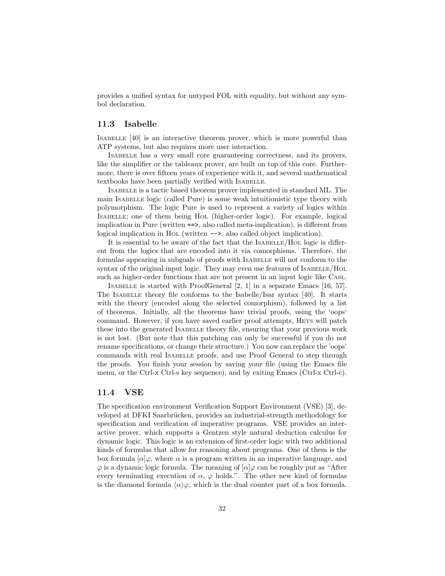provides a unified syntax for untyped FOL with equality, but without any symbol declaration.

### 11.3 Isabelle

ISABELLE [\[40\]](#page-41-8) is an interactive theorem prover, which is more powerful than ATP systems, but also requires more user interaction.

ISABELLE has a very small core guaranteeing correctness, and its provers, like the simplifier or the tableaux prover, are built on top of this core. Furthermore, there is over fifteen years of experience with it, and several mathematical textbooks have been partially verified with ISABELLE.

ISABELLE is a tactic based theorem prover implemented in standard ML. The main ISABELLE logic (called Pure) is some weak intuitionistic type theory with polymorphism. The logic Pure is used to represent a variety of logics within ISABELLE; one of them being HOL (higher-order logic). For example, logical implication in Pure (written ==>, also called meta-implication), is different from logical implication in HOL (written -->, also called object implication).

It is essential to be aware of the fact that the ISABELLE/HOL logic is different from the logics that are encoded into it via comorphisms. Therefore, the formulas appearing in subgoals of proofs with ISABELLE will not conform to the syntax of the original input logic. They may even use features of ISABELLE/HOL such as higher-order functions that are not present in an input logic like CASL.

ISABELLE is started with ProofGeneral [\[2,](#page-38-2) [1\]](#page-38-3) in a separate Emacs [\[16,](#page-39-11) [57\]](#page-42-11). The ISABELLE theory file conforms to the Isabelle/Isar syntax [\[40\]](#page-41-8). It starts with the theory (encoded along the selected comorphism), followed by a list of theorems. Initially, all the theorems have trivial proofs, using the 'oops' command. However, if you have saved earlier proof attempts, HETS will patch these into the generated ISABELLE theory file, ensuring that your previous work is not lost. (But note that this patching can only be successful if you do not rename specifications, or change their structure.) You now can replace the 'oops' commands with real ISABELLE proofs, and use Proof General to step through the proofs. You finish your session by saving your file (using the Emacs file menu, or the Ctrl-x Ctrl-s key sequence), and by exiting Emacs (Ctrl-x Ctrl-c).

### <span id="page-31-0"></span>11.4 VSE

The specification environment Verification Support Environment (VSE) [\[3\]](#page-38-4), developed at DFKI Saarbrücken, provides an industrial-strength methodology for specification and verification of imperative programs. VSE provides an interactive prover, which supports a Gentzen style natural deduction calculus for dynamic logic. This logic is an extension of first-order logic with two additional kinds of formulas that allow for reasoning about programs. One of them is the box formula  $\alpha|\varphi$ , where  $\alpha$  is a program written in an imperative language, and  $\varphi$  is a dynamic logic formula. The meaning of  $\alpha | \varphi$  can be roughly put as "After every terminating execution of  $\alpha$ ,  $\varphi$  holds.". The other new kind of formulas is the diamond formula  $\langle \alpha \rangle \varphi$ , which is the dual counter part of a box formula.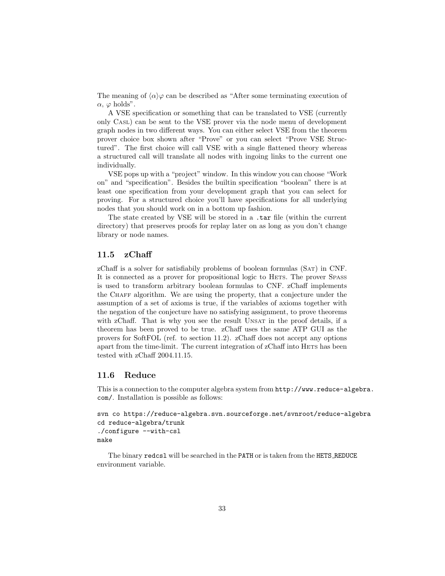The meaning of  $\langle \alpha \rangle \varphi$  can be described as "After some terminating execution of  $\alpha$ ,  $\varphi$  holds".

A VSE specification or something that can be translated to VSE (currently only CASL) can be sent to the VSE prover via the node menu of development graph nodes in two different ways. You can either select VSE from the theorem prover choice box shown after "Prove" or you can select "Prove VSE Structured". The first choice will call VSE with a single flattened theory whereas a structured call will translate all nodes with ingoing links to the current one individually.

VSE pops up with a "project" window. In this window you can choose "Work on" and "specification". Besides the builtin specification "boolean" there is at least one specification from your development graph that you can select for proving. For a structured choice you'll have specifications for all underlying nodes that you should work on in a bottom up fashion.

The state created by VSE will be stored in a .tar file (within the current directory) that preserves proofs for replay later on as long as you don't change library or node names.

#### 11.5 zChaff

zChaff is a solver for satisfiabily problems of boolean formulas (SAT) in CNF. It is connected as a prover for propositional logic to HETS. The prover SPASS is used to transform arbitrary boolean formulas to CNF. zChaff implements the CHAFF algorithm. We are using the property, that a conjecture under the assumption of a set of axioms is true, if the variables of axioms together with the negation of the conjecture have no satisfying assignment, to prove theorems with zChaff. That is why you see the result UNSAT in the proof details, if a theorem has been proved to be true. zChaff uses the same ATP GUI as the provers for SoftFOL (ref. to section [11.2\)](#page-26-1). zChaff does not accept any options apart from the time-limit. The current integration of zChaff into HETS has been tested with zChaff 2004.11.15.

### 11.6 Reduce

This is a connection to the computer algebra system from [http://www.reduce-a](http://www.reduce-algebra.com/)lgebra. [com/](http://www.reduce-algebra.com/). Installation is possible as follows:

```
svn co https://reduce-algebra.svn.sourceforge.net/svnroot/reduce-algebra
cd reduce-algebra/trunk
./configure --with-csl
make
```
The binary redcsl will be searched in the PATH or is taken from the HETS REDUCE environment variable.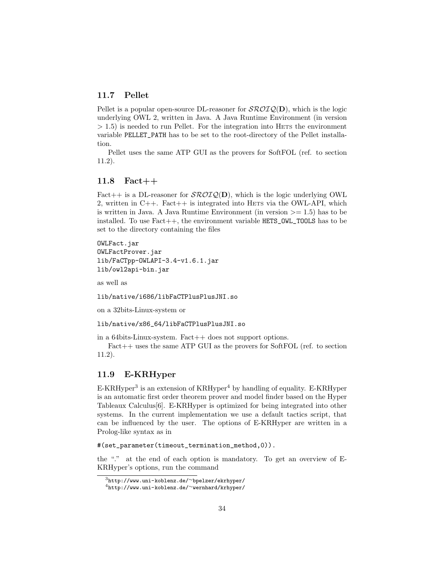### 11.7 Pellet

Pellet is a popular open-source DL-reasoner for  $\mathcal{SROIQ}(\mathbf{D})$ , which is the logic underlying OWL 2, written in Java. A Java Runtime Environment (in version  $> 1.5$ ) is needed to run Pellet. For the integration into HETS the environment variable PELLET\_PATH has to be set to the root-directory of the Pellet installation.

Pellet uses the same ATP GUI as the provers for SoftFOL (ref. to section [11.2\)](#page-26-1).

### 11.8 Fact++

Fact + is a DL-reasoner for  $\mathcal{SROTQ}(\mathbf{D})$ , which is the logic underlying OWL 2, written in  $C_{++}$ . Fact $++$  is integrated into HETS via the OWL-API, which is written in Java. A Java Runtime Environment (in version  $\geq$  = 1.5) has to be installed. To use  $Fact++$ , the environment variable  $HETS_OWL_TOOLS$  has to be set to the directory containing the files

OWLFact.jar OWLFactProver.jar lib/FaCTpp-OWLAPI-3.4-v1.6.1.jar lib/owl2api-bin.jar

as well as

lib/native/i686/libFaCTPlusPlusJNI.so

on a 32bits-Linux-system or

lib/native/x86\_64/libFaCTPlusPlusJNI.so

in a 64bits-Linux-system. Fact++ does not support options.

Fact++ uses the same ATP GUI as the provers for SoftFOL (ref. to section [11.2\)](#page-26-1).

### 11.9 E-KRHyper

E-KRHyper<sup>[3](#page-33-0)</sup> is an extension of KRHyper<sup>[4](#page-33-1)</sup> by handling of equality. E-KRHyper is an automatic first order theorem prover and model finder based on the Hyper Tableaux Calculus[\[6\]](#page-38-5). E-KRHyper is optimized for being integrated into other systems. In the current implementation we use a default tactics script, that can be influenced by the user. The options of E-KRHyper are written in a Prolog-like syntax as in

#(set\_parameter(timeout\_termination\_method,0)).

the "." at the end of each option is mandatory. To get an overview of E-KRHyper's options, run the command

<span id="page-33-0"></span><sup>3</sup>[http://www.uni-koblenz.de/](http://www.uni-koblenz.de/~bpelzer/ekrhyper/)∼bpelzer/ekrhyper/

<span id="page-33-1"></span><sup>4</sup>[http://www.uni-koblenz.de/](http://www.uni-koblenz.de/~wernhard/krhyper/)∼wernhard/krhyper/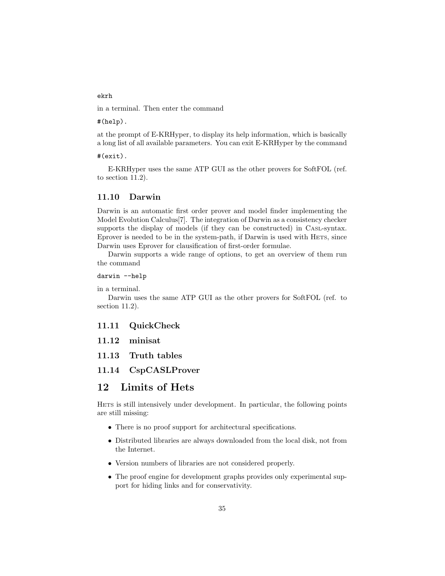### ekrh

in a terminal. Then enter the command

#(help).

at the prompt of E-KRHyper, to display its help information, which is basically a long list of all available parameters. You can exit E-KRHyper by the command

#### #(exit).

E-KRHyper uses the same ATP GUI as the other provers for SoftFOL (ref. to section [11.2\)](#page-26-1).

### 11.10 Darwin

Darwin is an automatic first order prover and model finder implementing the Model Evolution Calculus[\[7\]](#page-38-6). The integration of Darwin as a consistency checker supports the display of models (if they can be constructed) in CASL-syntax. Eprover is needed to be in the system-path, if Darwin is used with HETS, since Darwin uses Eprover for clausification of first-order formulae.

Darwin supports a wide range of options, to get an overview of them run the command

### darwin --help

in a terminal.

Darwin uses the same ATP GUI as the other provers for SoftFOL (ref. to section [11.2\)](#page-26-1).

### 11.11 QuickCheck

- 11.12 minisat
- 11.13 Truth tables

### 11.14 CspCASLProver

# 12 Limits of Hets

HETS is still intensively under development. In particular, the following points are still missing:

- There is no proof support for architectural specifications.
- Distributed libraries are always downloaded from the local disk, not from the Internet.
- Version numbers of libraries are not considered properly.
- The proof engine for development graphs provides only experimental support for hiding links and for conservativity.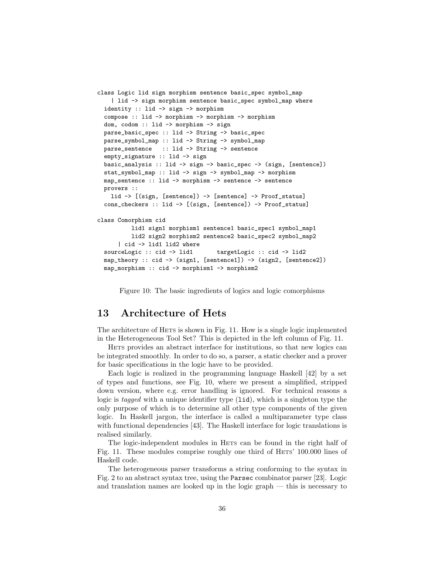```
class Logic lid sign morphism sentence basic_spec symbol_map
    | lid -> sign morphism sentence basic_spec symbol_map where
 identity :: lid -> sign -> morphism
 compose :: lid -> morphism -> morphism -> morphism
 dom, codom :: lid -> morphism -> sign
 parse_basic_spec :: lid -> String -> basic_spec
 parse_symbol_map :: lid -> String -> symbol_map
 parse_sentence :: lid -> String -> sentence
 empty_signature :: lid -> sign
 basic_analysis :: lid -> sign -> basic_spec -> (sign, [sentence])
 stat_symbol_map :: lid -> sign -> symbol_map -> morphism
 map_sentence :: lid -> morphism -> sentence -> sentence
 provers ::
   lid -> [(sign, [sentence]) -> [sentence] -> Proof_status]
 cons_checkers :: lid -> [(sign, [sentence]) -> Proof_status]
class Comorphism cid
         lid1 sign1 morphism1 sentence1 basic_spec1 symbol_map1
         lid2 sign2 morphism2 sentence2 basic_spec2 symbol_map2
      | cid -> lid1 lid2 where
 sourceLogic :: cid -> lid1 targetLogic :: cid -> lid2
 map_theory :: cid -> (sign1, [sentence1]) -> (sign2, [sentence2])
 map_morphism :: cid -> morphism1 -> morphism2
```
<span id="page-35-0"></span>Figure 10: The basic ingredients of logics and logic comorphisms

# 13 Architecture of Hets

The architecture of HETS is shown in Fig. [11.](#page-36-0) How is a single logic implemented in the Heterogeneous Tool Set? This is depicted in the left column of Fig. [11.](#page-36-0)

HETS provides an abstract interface for institutions, so that new logics can be integrated smoothly. In order to do so, a parser, a static checker and a prover for basic specifications in the logic have to be provided.

Each logic is realized in the programming language Haskell [\[42\]](#page-41-3) by a set of types and functions, see Fig. [10,](#page-35-0) where we present a simplified, stripped down version, where e.g. error handling is ignored. For technical reasons a logic is *tagged* with a unique identifier type (lid), which is a singleton type the only purpose of which is to determine all other type components of the given logic. In Haskell jargon, the interface is called a multiparameter type class with functional dependencies [\[43\]](#page-41-12). The Haskell interface for logic translations is realised similarly.

The logic-independent modules in HETS can be found in the right half of Fig. [11.](#page-36-0) These modules comprise roughly one third of HETS' 100.000 lines of Haskell code.

The heterogeneous parser transforms a string conforming to the syntax in Fig. [2](#page-1-0) to an abstract syntax tree, using the Parsec combinator parser [\[23\]](#page-39-12). Logic and translation names are looked up in the logic graph — this is necessary to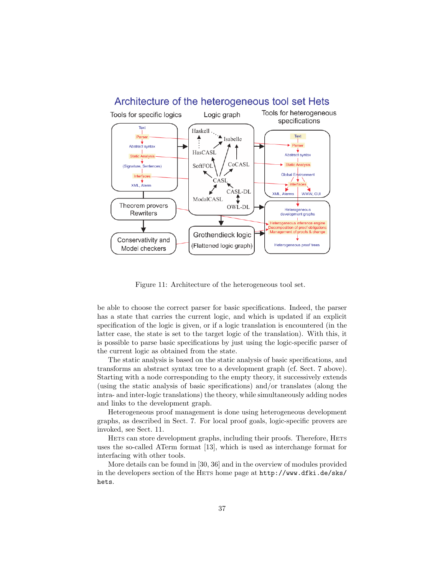

<span id="page-36-0"></span>Figure 11: Architecture of the heterogeneous tool set.

be able to choose the correct parser for basic specifications. Indeed, the parser has a state that carries the current logic, and which is updated if an explicit specification of the logic is given, or if a logic translation is encountered (in the latter case, the state is set to the target logic of the translation). With this, it is possible to parse basic specifications by just using the logic-specific parser of the current logic as obtained from the state.

The static analysis is based on the static analysis of basic specifications, and transforms an abstract syntax tree to a development graph (cf. Sect. [7](#page-14-0) above). Starting with a node corresponding to the empty theory, it successively extends (using the static analysis of basic specifications) and/or translates (along the intra- and inter-logic translations) the theory, while simultaneously adding nodes and links to the development graph.

Heterogeneous proof management is done using heterogeneous development graphs, as described in Sect. [7.](#page-14-0) For local proof goals, logic-specific provers are invoked, see Sect. [11.](#page-24-0)

HETS can store development graphs, including their proofs. Therefore, HETS uses the so-called ATerm format [\[13\]](#page-39-13), which is used as interchange format for interfacing with other tools.

More details can be found in [\[30,](#page-40-0) [36\]](#page-41-1) and in the overview of modules provided in the developers section of the HETS home page at [http://www.dfki.de/sks/](http://www.dfki.de/sks/hets) [hets](http://www.dfki.de/sks/hets).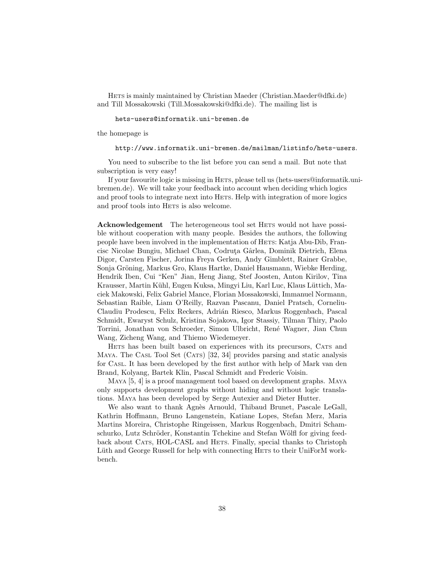HETS is mainly maintained by Christian Maeder (Christian.Maeder@dfki.de) and Till Mossakowski (Till.Mossakowski@dfki.de). The mailing list is

#### <hets-users@informatik.uni-bremen.de>

the homepage is

#### <http://www.informatik.uni-bremen.de/mailman/listinfo/hets-users>.

You need to subscribe to the list before you can send a mail. But note that subscription is very easy!

If your favourite logic is missing in HETS, please tell us (hets-users@informatik.unibremen.de). We will take your feedback into account when deciding which logics and proof tools to integrate next into HETS. Help with integration of more logics and proof tools into HETS is also welcome.

Acknowledgement The heterogeneous tool set HETS would not have possible without cooperation with many people. Besides the authors, the following people have been involved in the implementation of HETS: Katja Abu-Dib, Francisc Nicolae Bungiu, Michael Chan, Codruta Gârlea, Dominik Dietrich, Elena Digor, Carsten Fischer, Jorina Freya Gerken, Andy Gimblett, Rainer Grabbe, Sonja Gröning, Markus Gro, Klaus Hartke, Daniel Hausmann, Wiebke Herding, Hendrik Iben, Cui "Ken" Jian, Heng Jiang, Stef Joosten, Anton Kirilov, Tina Krausser, Martin Kühl, Eugen Kuksa, Mingyi Liu, Karl Luc, Klaus Lüttich, Maciek Makowski, Felix Gabriel Mance, Florian Mossakowski, Immanuel Normann, Sebastian Raible, Liam O'Reilly, Razvan Pascanu, Daniel Pratsch, Corneliu-Claudiu Prodescu, Felix Reckers, Adrián Riesco, Markus Roggenbach, Pascal Schmidt, Ewaryst Schulz, Kristina Sojakova, Igor Stassiy, Tilman Thiry, Paolo Torrini, Jonathan von Schroeder, Simon Ulbricht, Ren´e Wagner, Jian Chun Wang, Zicheng Wang, and Thiemo Wiedemeyer.

HETS has been built based on experiences with its precursors, CATS and MAYA. The CASL Tool Set (CATS) [\[32,](#page-40-10) [34\]](#page-40-11) provides parsing and static analysis for CASL. It has been developed by the first author with help of Mark van den Brand, Kolyang, Bartek Klin, Pascal Schmidt and Frederic Voisin.

MAYA [\[5,](#page-38-7) [4\]](#page-38-8) is a proof management tool based on development graphs. MAYA only supports development graphs without hiding and without logic translations. MAYA has been developed by Serge Autexier and Dieter Hutter.

We also want to thank Agnès Arnould, Thibaud Brunet, Pascale LeGall, Kathrin Hoffmann, Bruno Langenstein, Katiane Lopes, Stefan Merz, Maria Martins Moreira, Christophe Ringeissen, Markus Roggenbach, Dmitri Schamschurko, Lutz Schröder, Konstantin Tchekine and Stefan Wölfl for giving feedback about CATS, HOL-CASL and HETS. Finally, special thanks to Christoph Lüth and George Russell for help with connecting HETS to their UniForM workbench.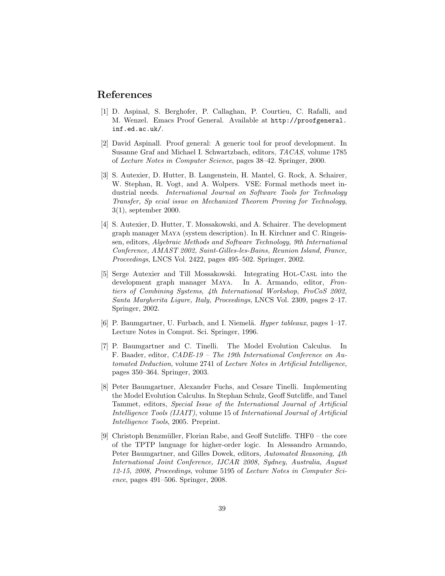## References

- <span id="page-38-3"></span>[1] D. Aspinal, S. Berghofer, P. Callaghan, P. Courtieu, C. Rafalli, and M. Wenzel. Emacs Proof General. Available at [http://proofgeneral.](http://proofgeneral.inf.ed.ac.uk/) [inf.ed.ac.uk/](http://proofgeneral.inf.ed.ac.uk/).
- <span id="page-38-2"></span>[2] David Aspinall. Proof general: A generic tool for proof development. In Susanne Graf and Michael I. Schwartzbach, editors, TACAS, volume 1785 of Lecture Notes in Computer Science, pages 38–42. Springer, 2000.
- <span id="page-38-4"></span>[3] S. Autexier, D. Hutter, B. Langenstein, H. Mantel, G. Rock, A. Schairer, W. Stephan, R. Vogt, and A. Wolpers. VSE: Formal methods meet industrial needs. International Journal on Software Tools for Technology Transfer, Sp ecial issue on Mechanized Theorem Proving for Technology, 3(1), september 2000.
- <span id="page-38-8"></span>[4] S. Autexier, D. Hutter, T. Mossakowski, and A. Schairer. The development graph manager Maya (system description). In H. Kirchner and C. Ringeissen, editors, Algebraic Methods and Software Technology, 9th International Conference, AMAST 2002, Saint-Gilles-les-Bains, Reunion Island, France, Proceedings, LNCS Vol. 2422, pages 495–502. Springer, 2002.
- <span id="page-38-7"></span>[5] Serge Autexier and Till Mossakowski. Integrating Hol-Casl into the development graph manager Maya. In A. Armando, editor, Frontiers of Combining Systems, 4th International Workshop, FroCoS 2002, Santa Margherita Ligure, Italy, Proceedings, LNCS Vol. 2309, pages 2–17. Springer, 2002.
- <span id="page-38-5"></span>[6] P. Baumgartner, U. Furbach, and I. Niemelä. *Hyper tableaux*, pages 1–17. Lecture Notes in Comput. Sci. Springer, 1996.
- <span id="page-38-6"></span>[7] P. Baumgartner and C. Tinelli. The Model Evolution Calculus. In F. Baader, editor, CADE-19 – The 19th International Conference on Automated Deduction, volume 2741 of Lecture Notes in Artificial Intelligence, pages 350–364. Springer, 2003.
- <span id="page-38-0"></span>[8] Peter Baumgartner, Alexander Fuchs, and Cesare Tinelli. Implementing the Model Evolution Calculus. In Stephan Schulz, Geoff Sutcliffe, and Tanel Tammet, editors, Special Issue of the International Journal of Artificial Intelligence Tools (IJAIT), volume 15 of International Journal of Artificial Intelligence Tools, 2005. Preprint.
- <span id="page-38-1"></span>[9] Christoph Benzmüller, Florian Rabe, and Geoff Sutcliffe. THF0 – the core of the TPTP language for higher-order logic. In Alessandro Armando, Peter Baumgartner, and Gilles Dowek, editors, Automated Reasoning, 4th International Joint Conference, IJCAR 2008, Sydney, Australia, August 12-15, 2008, Proceedings, volume 5195 of Lecture Notes in Computer Science, pages 491–506. Springer, 2008.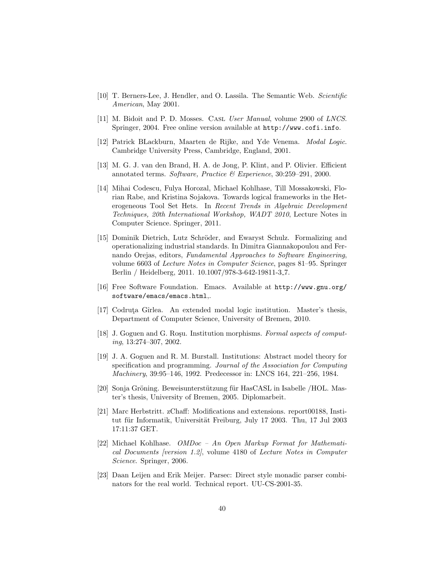- <span id="page-39-3"></span>[10] T. Berners-Lee, J. Hendler, and O. Lassila. The Semantic Web. Scientific American, May 2001.
- <span id="page-39-1"></span>[11] M. Bidoit and P. D. Mosses. CASL User Manual, volume 2900 of LNCS. Springer, 2004. Free online version available at <http://www.cofi.info>.
- <span id="page-39-9"></span>[12] Patrick BLackburn, Maarten de Rijke, and Yde Venema. Modal Logic. Cambridge University Press, Cambridge, England, 2001.
- <span id="page-39-13"></span>[13] M. G. J. van den Brand, H. A. de Jong, P. Klint, and P. Olivier. Efficient annotated terms. Software, Practice & Experience, 30:259–291, 2000.
- <span id="page-39-5"></span>[14] Mihai Codescu, Fulya Horozal, Michael Kohlhase, Till Mossakowski, Florian Rabe, and Kristina Sojakova. Towards logical frameworks in the Heterogeneous Tool Set Hets. In Recent Trends in Algebraic Development Techniques, 20th International Workshop, WADT 2010, Lecture Notes in Computer Science. Springer, 2011.
- <span id="page-39-6"></span>[15] Dominik Dietrich, Lutz Schröder, and Ewaryst Schulz. Formalizing and operationalizing industrial standards. In Dimitra Giannakopoulou and Fernando Orejas, editors, Fundamental Approaches to Software Engineering, volume 6603 of Lecture Notes in Computer Science, pages 81–95. Springer Berlin / Heidelberg, 2011. 10.1007/978-3-642-19811-3 7.
- <span id="page-39-11"></span>[16] Free Software Foundation. Emacs. Available at [http://www.gnu.org/](http://www.gnu.org/software/emacs/emacs.html) [software/emacs/emacs.html](http://www.gnu.org/software/emacs/emacs.html),.
- <span id="page-39-2"></span>[17] Codruta Gîrlea. An extended modal logic institution. Master's thesis, Department of Computer Science, University of Bremen, 2010.
- <span id="page-39-7"></span>[18] J. Goguen and G. Rosu. Institution morphisms. Formal aspects of computing, 13:274–307, 2002.
- <span id="page-39-0"></span>[19] J. A. Goguen and R. M. Burstall. Institutions: Abstract model theory for specification and programming. Journal of the Association for Computing Machinery, 39:95–146, 1992. Predecessor in: LNCS 164, 221–256, 1984.
- <span id="page-39-8"></span>[20] Sonja Gröning. Beweisunterstützung für HasCASL in Isabelle /HOL. Master's thesis, University of Bremen, 2005. Diplomarbeit.
- <span id="page-39-4"></span>[21] Marc Herbstritt. zChaff: Modifications and extensions. report00188, Institut für Informatik, Universität Freiburg, July 17 2003. Thu, 17 Jul 2003 17:11:37 GET.
- <span id="page-39-10"></span>[22] Michael Kohlhase. OMDoc – An Open Markup Format for Mathematical Documents [version 1.2], volume 4180 of Lecture Notes in Computer Science. Springer, 2006.
- <span id="page-39-12"></span>[23] Daan Leijen and Erik Meijer. Parsec: Direct style monadic parser combinators for the real world. Technical report. UU-CS-2001-35.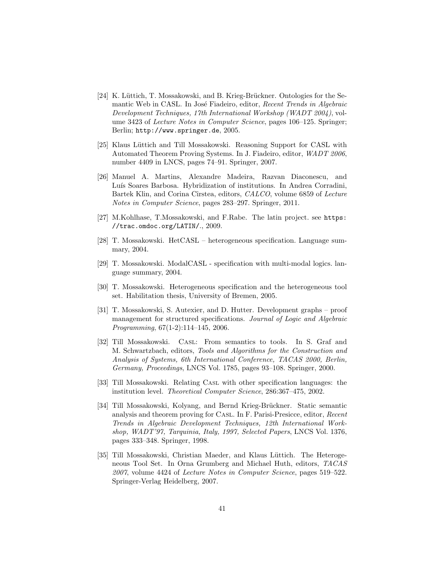- <span id="page-40-3"></span>[24] K. Lüttich, T. Mossakowski, and B. Krieg-Brückner. Ontologies for the Semantic Web in CASL. In José Fiadeiro, editor, Recent Trends in Algebraic Development Techniques, 17th International Workshop (WADT 2004), volume 3423 of Lecture Notes in Computer Science, pages 106–125. Springer; Berlin; <http://www.springer.de>, 2005.
- <span id="page-40-4"></span>[25] Klaus Lüttich and Till Mossakowski. Reasoning Support for CASL with Automated Theorem Proving Systems. In J. Fiadeiro, editor, WADT 2006, number 4409 in LNCS, pages 74–91. Springer, 2007.
- <span id="page-40-6"></span>[26] Manuel A. Martins, Alexandre Madeira, Razvan Diaconescu, and Luís Soares Barbosa. Hybridization of institutions. In Andrea Corradini, Bartek Klin, and Corina Cîrstea, editors, CALCO, volume 6859 of Lecture Notes in Computer Science, pages 283–297. Springer, 2011.
- <span id="page-40-5"></span>[27] M.Kohlhase, T.Mossakowski, and F.Rabe. The latin project. see [https:](https://trac.omdoc.org/LATIN/) [//trac.omdoc.org/LATIN/](https://trac.omdoc.org/LATIN/)., 2009.
- <span id="page-40-7"></span>[28] T. Mossakowski. HetCASL – heterogeneous specification. Language summary, 2004.
- <span id="page-40-2"></span>[29] T. Mossakowski. ModalCASL - specification with multi-modal logics. language summary, 2004.
- <span id="page-40-0"></span>[30] T. Mossakowski. Heterogeneous specification and the heterogeneous tool set. Habilitation thesis, University of Bremen, 2005.
- <span id="page-40-9"></span>[31] T. Mossakowski, S. Autexier, and D. Hutter. Development graphs – proof management for structured specifications. Journal of Logic and Algebraic Programming, 67(1-2):114–145, 2006.
- <span id="page-40-10"></span>[32] Till Mossakowski. Casl: From semantics to tools. In S. Graf and M. Schwartzbach, editors, Tools and Algorithms for the Construction and Analysis of Systems, 6th International Conference, TACAS 2000, Berlin, Germany, Proceedings, LNCS Vol. 1785, pages 93–108. Springer, 2000.
- <span id="page-40-8"></span>[33] Till Mossakowski. Relating CASL with other specification languages: the institution level. Theoretical Computer Science, 286:367–475, 2002.
- <span id="page-40-11"></span>[34] Till Mossakowski, Kolyang, and Bernd Krieg-Brückner. Static semantic analysis and theorem proving for Casl. In F. Parisi-Presicce, editor, Recent Trends in Algebraic Development Techniques, 12th International Workshop, WADT'97, Tarquinia, Italy, 1997, Selected Papers, LNCS Vol. 1376, pages 333–348. Springer, 1998.
- <span id="page-40-1"></span>[35] Till Mossakowski, Christian Maeder, and Klaus Lüttich. The Heterogeneous Tool Set. In Orna Grumberg and Michael Huth, editors, TACAS 2007, volume 4424 of Lecture Notes in Computer Science, pages 519–522. Springer-Verlag Heidelberg, 2007.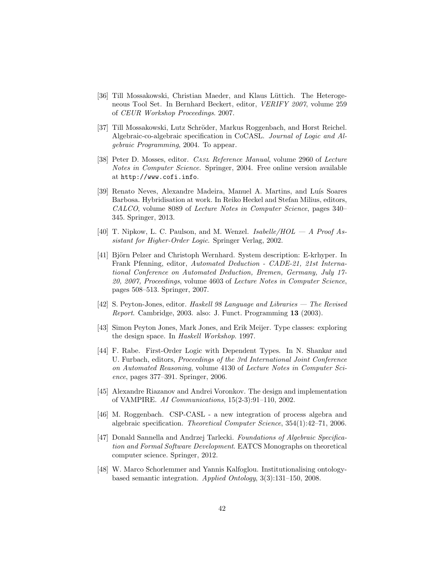- <span id="page-41-1"></span>[36] Till Mossakowski, Christian Maeder, and Klaus Lüttich. The Heterogeneous Tool Set. In Bernhard Beckert, editor, VERIFY 2007, volume 259 of CEUR Workshop Proceedings. 2007.
- <span id="page-41-2"></span>[37] Till Mossakowski, Lutz Schröder, Markus Roggenbach, and Horst Reichel. Algebraic-co-algebraic specification in CoCASL. Journal of Logic and Algebraic Programming, 2004. To appear.
- <span id="page-41-0"></span>[38] Peter D. Mosses, editor. *CASL Reference Manual*, volume 2960 of *Lecture* Notes in Computer Science. Springer, 2004. Free online version available at <http://www.cofi.info>.
- <span id="page-41-11"></span>[39] Renato Neves, Alexandre Madeira, Manuel A. Martins, and Luís Soares Barbosa. Hybridisation at work. In Reiko Heckel and Stefan Milius, editors, CALCO, volume 8089 of Lecture Notes in Computer Science, pages 340– 345. Springer, 2013.
- <span id="page-41-8"></span>[40] T. Nipkow, L. C. Paulson, and M. Wenzel.  $Isabelle/HOL - A$  Proof Assistant for Higher-Order Logic. Springer Verlag, 2002.
- <span id="page-41-7"></span>[41] Björn Pelzer and Christoph Wernhard. System description: E-krhyper. In Frank Pfenning, editor, Automated Deduction - CADE-21, 21st International Conference on Automated Deduction, Bremen, Germany, July 17- 20, 2007, Proceedings, volume 4603 of Lecture Notes in Computer Science, pages 508–513. Springer, 2007.
- <span id="page-41-3"></span>[42] S. Peyton-Jones, editor. Haskell 98 Language and Libraries — The Revised Report. Cambridge, 2003. also: J. Funct. Programming 13 (2003).
- <span id="page-41-12"></span>[43] Simon Peyton Jones, Mark Jones, and Erik Meijer. Type classes: exploring the design space. In Haskell Workshop. 1997.
- <span id="page-41-9"></span>[44] F. Rabe. First-Order Logic with Dependent Types. In N. Shankar and U. Furbach, editors, Proceedings of the 3rd International Joint Conference on Automated Reasoning, volume 4130 of Lecture Notes in Computer Science, pages 377–391. Springer, 2006.
- <span id="page-41-6"></span>[45] Alexandre Riazanov and Andrei Voronkov. The design and implementation of VAMPIRE. AI Communications, 15(2-3):91–110, 2002.
- <span id="page-41-4"></span>[46] M. Roggenbach. CSP-CASL - a new integration of process algebra and algebraic specification. Theoretical Computer Science, 354(1):42–71, 2006.
- <span id="page-41-10"></span>[47] Donald Sannella and Andrzej Tarlecki. Foundations of Algebraic Specification and Formal Software Development. EATCS Monographs on theoretical computer science. Springer, 2012.
- <span id="page-41-5"></span>[48] W. Marco Schorlemmer and Yannis Kalfoglou. Institutionalising ontologybased semantic integration. Applied Ontology, 3(3):131–150, 2008.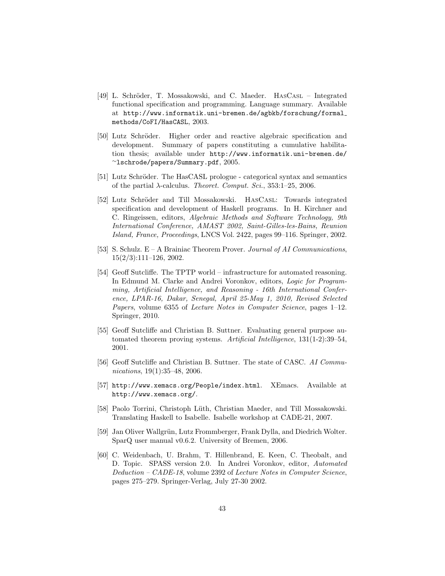- <span id="page-42-1"></span>[49] L. Schröder, T. Mossakowski, and C. Maeder. HASCASL – Integrated functional specification and programming. Language summary. Available at [http://www.informatik.uni-bremen.de/agbkb/forschung/formal](http://www.informatik.uni-bremen.de/agbkb/forschung/formal_methods/CoFI/HasCASL) [methods/CoFI/HasCASL](http://www.informatik.uni-bremen.de/agbkb/forschung/formal_methods/CoFI/HasCASL), 2003.
- <span id="page-42-3"></span>[50] Lutz Schröder. Higher order and reactive algebraic specification and development. Summary of papers constituting a cumulative habilitation thesis; available under [http://www.informatik.uni-bremen.de/](http://www.informatik.uni-bremen.de/~lschrode/papers/Summary.pdf) <sup>∼</sup>[lschrode/papers/Summary.pdf](http://www.informatik.uni-bremen.de/~lschrode/papers/Summary.pdf), 2005.
- <span id="page-42-2"></span>[51] Lutz Schröder. The HasCASL prologue - categorical syntax and semantics of the partial  $\lambda$ -calculus. *Theoret. Comput. Sci.*, 353:1-25, 2006.
- <span id="page-42-0"></span>[52] Lutz Schröder and Till Mossakowski. HASCASL: Towards integrated specification and development of Haskell programs. In H. Kirchner and C. Ringeissen, editors, Algebraic Methods and Software Technology, 9th International Conference, AMAST 2002, Saint-Gilles-les-Bains, Reunion Island, France, Proceedings, LNCS Vol. 2422, pages 99–116. Springer, 2002.
- <span id="page-42-5"></span>[53] S. Schulz.  $E - A$  Brainiac Theorem Prover. *Journal of AI Communications*, 15(2/3):111–126, 2002.
- <span id="page-42-6"></span>[54] Geoff Sutcliffe. The TPTP world – infrastructure for automated reasoning. In Edmund M. Clarke and Andrei Voronkov, editors, Logic for Programming, Artificial Intelligence, and Reasoning - 16th International Conference, LPAR-16, Dakar, Senegal, April 25-May 1, 2010, Revised Selected Papers, volume 6355 of *Lecture Notes in Computer Science*, pages 1-12. Springer, 2010.
- <span id="page-42-9"></span>[55] Geoff Sutcliffe and Christian B. Suttner. Evaluating general purpose automated theorem proving systems. Artificial Intelligence, 131(1-2):39–54, 2001.
- <span id="page-42-10"></span>[56] Geoff Sutcliffe and Christian B. Suttner. The state of CASC. AI Communications, 19(1):35–48, 2006.
- <span id="page-42-11"></span>[57] http://www.xemacs.org/People/index.html. XEmacs. Available at <http://www.xemacs.org/>.
- <span id="page-42-7"></span>[58] Paolo Torrini, Christoph Lüth, Christian Maeder, and Till Mossakowski. Translating Haskell to Isabelle. Isabelle workshop at CADE-21, 2007.
- <span id="page-42-8"></span>[59] Jan Oliver Wallgrün, Lutz Frommberger, Frank Dylla, and Diedrich Wolter. SparQ user manual v0.6.2. University of Bremen, 2006.
- <span id="page-42-4"></span>[60] C. Weidenbach, U. Brahm, T. Hillenbrand, E. Keen, C. Theobalt, and D. Topic. SPASS version 2.0. In Andrei Voronkov, editor, Automated Deduction – CADE-18, volume 2392 of Lecture Notes in Computer Science, pages 275–279. Springer-Verlag, July 27-30 2002.